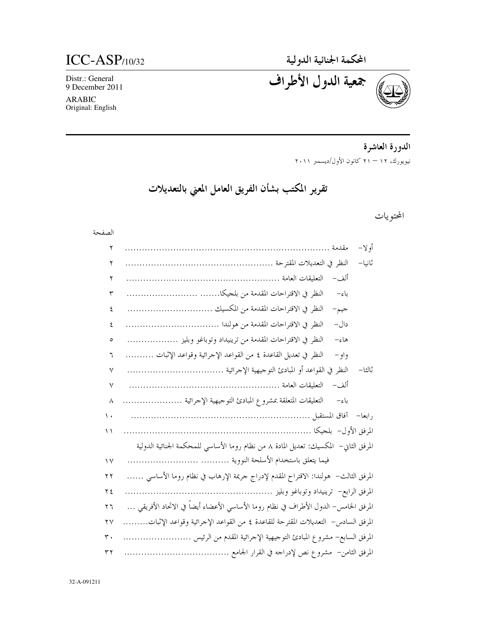$ICC-ASP/10/32$ 

Distr.: General 9 December 2011

**ARABIC** Original: English

المحكمة الجنائية الدولية<br>جمعية الدول الأطراف

الدورة العاشرة نيويورك، ١٢ – ٢١ كانون الأول/ديسمبر ٢٠١١

تقرير المكتب بشأن الفريق العامل المعني بالتعديلات

### المحتويات

### الصفحة

| ٢   | أولا–<br>مقدمة                                                                        |
|-----|---------------------------------------------------------------------------------------|
| ٢   | ثانيا–                                                                                |
| ۲   | آلف –                                                                                 |
| ٣   | باءِ–                                                                                 |
| ٤   | جيم-                                                                                  |
| ٤   | دال–                                                                                  |
| ٥   | النظر في الاقتراحات المقدمة من ترينيداد وتوباغو وبليز<br>هاءِ–                        |
| ٦   | النظر في تعديل القاعدة ٤ من القواعد الإحرائية وقواعد الإثبات<br>و او –                |
| ٧   | ثالثا–                                                                                |
| ٧   | ألف–                                                                                  |
| ٨   | التعليقات المتعلقة بمشروع المبادئ التوجيهية الإحرائية<br>باءِ–                        |
| ١.  |                                                                                       |
| ۱۱  |                                                                                       |
|     | المرفق الثاني– المكسيك: تعديل المادة ٨ من نظام روما الأساسي للمحكمة الجنائية الدولية  |
| ۱٧  |                                                                                       |
| ۲ ۲ | المرفق الثالث–  هولندا: الاقتراح المقدم لإدراج حريمة الإرهاب في نظام روما الأساسي ……. |
| ۲ ٤ | المرفق الرابع– ترينيداد وتوباغو وبليز                                                 |
| ۲٦  | المرفق الخامس– الدول الأطراف في نظام روما الأساسي الأعضاء أيضاً في الاتحاد الأفريقي … |
| ۲۷  | المرفق السادس–  التعديلات المقترحة للقاعدة ٤ من القواعد الإجرائية وقواعد الإثبات<br>. |
| ٣٠  | المرفق السابع– مشروع المبادئ التوجيهية الإحرائية المقدم من الرئيس                     |
| ٣٢  | المرفق الثامن– مشروع نص لإدراجه في القرار الجامع .                                    |

32-A-091211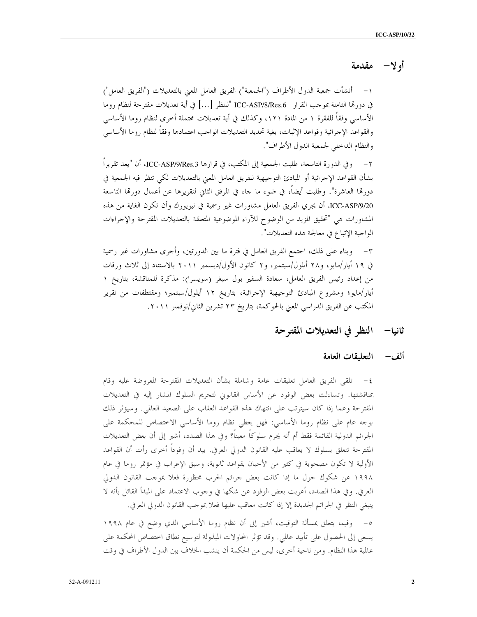## أولا- مقدمة

١– أنشأت جمعية الدول الأطراف ("الجمعية") الفريق العامل المعنى بالتعديلات ("الفريق العامل") في دورقما الثامنة بموجب القرار ICC-ASP/8/Res.6 "للنظر […] في أية تعديلات مقترحة لنظام روما الأساسي وفقاً للفقرة ١ من المادة ١٢١، وكذلك في أية تعديلات محتملة أخرى لنظام روما الأساسي والقواعد الإحرائية وقواعد الإثبات، بغية تحديد التعديلات الواحب اعتمادها وفقاً لنظام روما الأساسي والنظام الداخلي لجمعية الدول الأطراف".

٢ – وفي الدورة التاسعة، طلبت الجمعية إلى المكتب، في قرارها ICC-ASP/9/Res.3، أن "يعد تقريراً ، بشأن القواعد الإجرائية أو المبادئ التوجيهية للفريق العامل المعنى بالتعديلات لكي تنظر فيه الجمعية في دورهّا العاشرة". وطلبت أيضاً، في ضوء ما حاء في المرفق الثاني لتقريرها عن أعمال دورهّا التاسعة ICC-ASP/9/20، أن يجري الفريق العامل مشاورات غير رسمية في نيويورك وأن تكون الغاية من هذه المشاورات هي "تحقيق المزيد من الوضوح للآراء الموضوعية المتعلقة بالتعديلات المقترحة والإجراءات الواحبة الإتباع في معالجة هذه التعديلات".

وبناء على ذلك، احتمع الفريق العامل في فترة ما بين الدورتين، وأحرى مشاورات غير رسمية  $-\tau$ في ١٩ أيار/مايو، و٢٨ أيلول/سبتمبر، و٢ كانون الأول/ديسمبر ٢٠١١ بالاستناد إلى ثلاث ورقات من إعداد رئيس الفريق العامل، سعادة السفير بول سيغر (سويسرا): مذكرة للمناقشة، بتاريخ ١ أيار/مايو؛ ومشروع المبادئ التوحيهية الإحرائية، بتاريخ ١٢ أيلول/سبتمبر؛ ومقتطفات من تقرير المكتب عن الفريق الدراسي المعنى بالحوكمة، بتاريخ ٢٣ تشرين الثاني/نوفمبر ٢٠١١.

- ثانيا– النظر في التعديلات المقترحة
	- ألف— التعليقات العامة

٤– تلقى الفريق العامل تعليقات عامة وشاملة بشأن التعديلات المقترحة المعروضة عليه وقام بمناقشتها. وتساءلت بعض الوفود عن الأساس القانوين لتجريم السلوك المشار إليه في التعديلات المقترحة وعما إذا كان سيترتب على انتهاك هذه القواعد العقاب على الصعيد العالمي. وسيؤثر ذلك بوجه عام على نظام روما الأساسي: فهل يعطي نظام روما الأساسي الاختصاص للمحكمة على الجرائم الدولية القائمة فقط أم أنه يجرم سلوكاً معيناً؟ وفي هذا الصدد، أشير إلى أن بعض التعديلات المقترحة تتعلق بسلوك لا يعاقب عليه القانون الدولي العرفي. بيد أن وفوداً أخرى رأت أن القواعد الأولية لا تكون مصحوبة في كثير من الأحيان بقواعد ثانوية، وسبق الإعراب في مؤتمر روما في عام ١٩٩٨ عن شكوك حول ما إذا كانت بعض جرائم الحرب محظورة فعلا بموجب القانون الدولي العرفي. وفي هذا الصدد، أعربت بعض الوفود عن شكها في وجوب الاعتماد على المبدأ القائل بأنه لا ينبغي النظر في الجرائم الجديدة إلا إذا كانت معاقب عليها فعلا بموحب القانون الدولي العرفي. ٥– وفيما يتعلق بمسألة التوقيت، أشير إلى أن نظام روما الأساسي الذي وضع في عام ١٩٩٨

يسعى إلى الحصول على تأييد عالمي. وقد تؤثَّر المحاولات المبذولة لتوسيع نطاق اختصاص المحكمة على عالمية هذا النظام. ومن ناحية أخرى، ليس من الحكمة أن ينشب الخلاف بين الدول الأطراف في وقت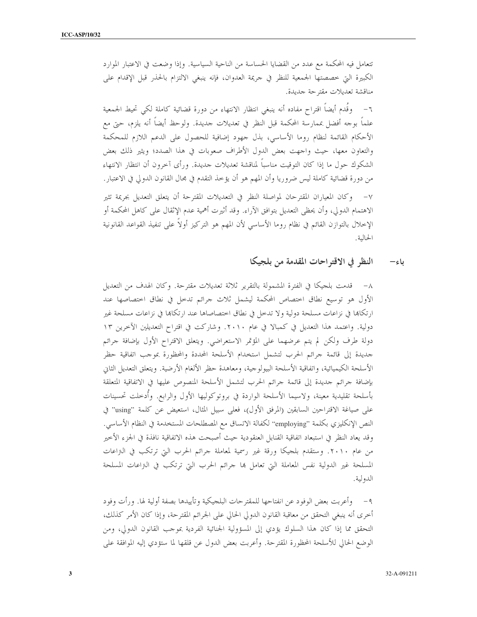تتعامل فيه المحكمة مع عدد من القضايا الحساسة من الناحية السياسية. وإذا وضعت في الاعتبار الموارد الكبيرة التي خصصتها الجمعية للنظر في حريمة العدوان، فإنه ينبغي الالتزام بالحذر قبل الإقدام على مناقشة تعديلات مقترحة جديدة.

٦− وقُدم أيضاً اقتراح مفاده أنه ينبغي انتظار الانتهاء من دورة قضائية كاملة لكي تحيط الجمعية علماً بوجه أفضل بممارسة المحكمة قبل النظر في تعديلات حديدة. ولوحظ أيضاً أنه يلزم، حتى مع الأحكام القائمة لنظام روما الأساسي، بذل جهود إضافية للحصول على الدعم اللازم للمحكمة والتعاون معها، حيث واجهت بعض الدول الأطراف صعوبات في هذا الصدد؛ ويثير ذلك بعض الشكوك حول ما إذا كان التوقيت مناسبا لمناقشة تعديلات جديدة. ورأى آخرون أن انتظار الانتهاء من دورة قضائية كاملة ليس ضروريا وأن المهم هو أن يؤخذ التقدم في مجال القانون الدولى في الاعتبار. ٧– وكان المعياران المقترحان لمواصلة النظر في التعديلات المقترحة أن يتعلق التعديل بجريمة تثير الاهتمام الدولي، وأن يحظى التعديل بتوافق الآراء. وقد أثيرت أهمية عدم الإثقال على كاهل المحكمة أو الإخلال بالتوازن القائم في نظام روما الأساسي لأن المهم هو التركيز أولاً على تنفيذ القواعد القانونية الحالية.

#### النظر في الاقتراحات المقدمة من بلجيكا باء–

٨– قدمت بلجيكا في الفترة المشمولة بالتقرير ثلاثة تعديلات مقترحة. وكان الهدف من التعديل الأول هو توسيع نطاق اختصاص المحكمة ليشمل ثلاث جرائم تدخل في نطاق اختصاصها عند ارتكاها في نزاعات مسلحة دولية ولا تدخل في نطاق اختصاصاها عند ارتكاها في نزاعات مسلحة غير دولية. واعتمد هذا التعديل في كمبالا في عام ٢٠١٠. وشاركت في اقتراح التعديلين الآخرين ١٣ دولة طرف ولكن لم يتم عرضهما على المؤتمر الاستعراضي. ويتعلق الاقتراح الأول بإضافة جرائم حديدة إلى قائمة حرائم الحرب لتشمل استخدام الأسلحة المحددة والمحظورة بموحب اتفاقية حظر الأسلحة الكيميائية، واتفاقية الأسلحة البيولوجية، ومعاهدة حظر الألغام الأرضية. ويتعلق التعديل الثاني بإضافة جرائم جديدة إلى قائمة جرائم الحرب لتشمل الأسلحة المنصوص عليها في الاتفاقية المتعلقة بأسلحة تقليدية معينة، ولاسيما الأسلحة الواردة في بروتوكوليها الأول والرابع. وأُدخلت تحسينات على صياغة الاقتراحين السابقين (المرفق الأول)، فعلى سبيل المثال، استعيض عن كلمة "using" في النص الإنكليزي بكلمة "employing" لكفالة الاتساق مع المصطلحات المستخدمة في النظام الأساسي. وقد يعاد النظر في استبعاد اتفاقية القنابل العنقودية حيث أصبحت هذه الاتفاقية نافذة في الجزء الأخير من عام ٢٠١٠. وستقدم بلجيكا ورقة غير رسمية لمعاملة جرائم الحرب التي ترتكب في التزاعات المسلحة غير الدولية نفس المعاملة التي تعامل بما جرائم الحرب التي ترتكب في التزاعات المسلحة الدولية.

٩ – وأعربت بعض الوفود عن انفتاحها للمقترحات البلجيكية وتأييدها بصفة أولية لها. ورأت وفود أخرى أنه ينبغي التحقق من معاقبة القانون الدولى الحالي على الجرائم المقترحة، وإذا كان الأمر كذلك، التحقق مما إذا كان هذا السلوك يؤدي إلى المسؤولية الجنائية الفردية بموجب القانون الدولي، ومن الوضع الحالي للأسلحة المحظورة المقترحة. وأعربت بعض الدول عن قلقها لما ستؤدي إليه الموافقة على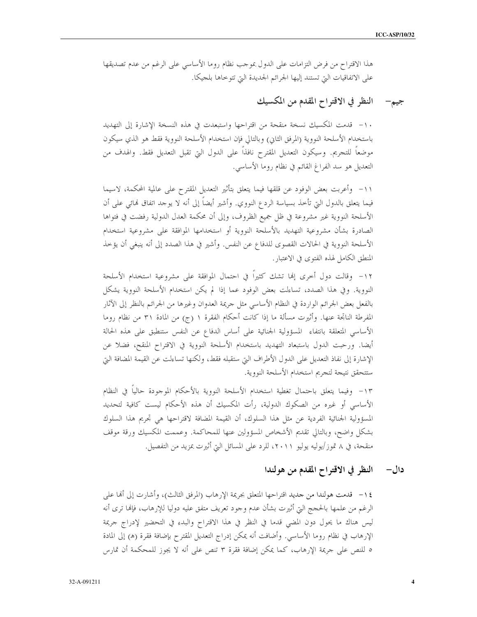هذا الاقتراح من فرض التزامات على الدول بموجب نظام روما الأساسي على الرغم من عدم تصديقها على الاتفاقيات التي تستند إليها الجرائم الجديدة التي تتوخاها بلجيكا.

## جيم— النظر في الاقتراح المقدم من المكسيك

١٠- قدمت المكسيك نسخة منقحة من اقتراحها واستبعدت في هذه النسخة الإشارة إلى التهديد باستخدام الأسلحة النووية (المرفق الثاني) وبالتالي فإن استخدام الأسلحة النووية فقط هو الذي سيكون موضعاً للتجريم. وسيكون التعديل المقترح نافذاً على الدول التي تقبل التعديل فقط. والهدف من التعديل هو سد الفراغ القائم في نظام روما الأساسي.

١١– وأعربت بعض الوفود عن قلقها فيما يتعلق بتأثير التعديل المقترح على عالمية المحكمة، لاسيما فيما يتعلق بالدول التي تأخذ بسياسة الردع النووي. وأشير أيضاً إلى أنه لا يوجد اتفاق نمائي على أن الأسلحة النووية غير مشروعة في ظل جميع الظروف، وإلى أن محكمة العدل الدولية رفضت في فتواها الصادرة بشأن مشروعية التهديد بالأسلحة النووية أو استخدامها الموافقة على مشروعية استخدام الأسلحة النووية في الحالات القصوى للدفاع عن النفس. وأشير في هذا الصدد إلى أنه ينبغي أن يؤخذ المنطق الكامل لهذه الفتوى في الاعتبار .

١٢- وقالت دول أخرى إلها تشك كثيرا في احتمال الموافقة على مشروعية استخدام الأسلحة النووية. وفي هذا الصدد، تساءلت بعض الوفود عما إذا لم يكن استخدام الأسلحة النووية يشكل بالفعل بعض الجرائم الواردة في النظام الأساسي مثل جريمة العدوان وغيرها من الجرائم بالنظر إلى الآثار المفرطة الناتجة عنها. وأثيرت مسألة ما إذا كانت أحكام الفقرة ١ (ج) من المادة ٣١ من نظام روما الأساسي المتعلقة بانتفاء المسؤولية الجنائية على أساس الدفاع عن النفس ستنطبق على هذه الحالة أيضا. ورحبت الدول باستبعاد التهديد باستخدام الأسلحة النووية في الاقتراح المنقح، فضلا عن الإشارة إلى نفاذ التعديل على الدول الأطراف التي ستقبله فقط، ولكنها تساءلت عن القيمة المضافة التي ستتحقق نتيجة لتجريم استخدام الأسلحة النووية.

١٣- وفيما يتعلق باحتمال تغطية استخدام الأسلحة النووية بالأحكام الموجودة حالياً في النظام الأساسي أو غيره من الصكوك الدولية، رأت المكسيك أن هذه الأحكام ليست كافية لتحديد المسؤولية الجنائية الفردية عن مثل هذا السلوك، أن القيمة المضافة لاقتراحها هي تجريم هذا السلوك بشكل واضح، وبالتالي تقديم الأشخاص المسؤولين عنها للمحاكمة. وعممت المكسيك ورقة موقف منقحة، في ٨ تموز/يوليه يوليو ٢٠١١، للرد على المسائل التي أثيرت بمزيد من التفصيل.

#### النظر في الاقتراح المقدم من هولندا دال–

١٤ – قدمت هولندا من جديد اقتراحها المتعلق بجريمة الإرهاب (المرفق الثالث)، وأشارت إلى ألها على الرغم من علمها بالحجج التي أثيرت بشأن عدم وجود تعريف متفق عليه دوليا للإرهاب، فإنها ترى أنه ليس هناك ما يحول دون المضى قدما في النظر في هذا الاقتراح والبدء في التحضير لإدراج حريمة الإرهاب في نظام روما الأساسي. وأضافت أنه يمكن إدراج التعديل المقترح بإضافة فقرة (ه) إلى المادة ٥ للنص على حريمة الإرهاب، كما يمكن إضافة فقرة ٣ تنص على أنه لا يجوز للمحكمة أن تمارس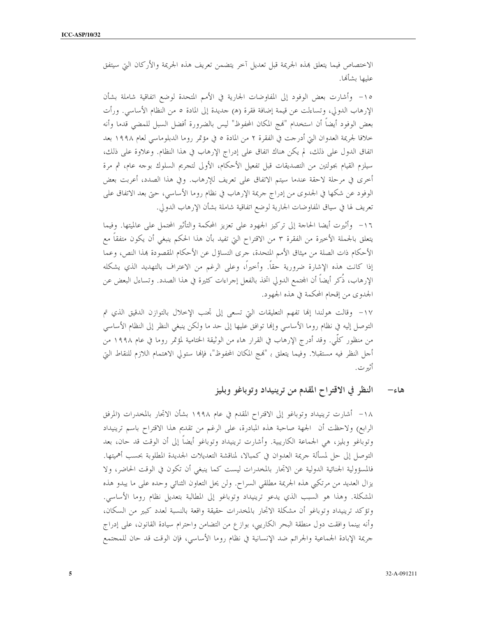الاختصاص فيما يتعلق بمذه الجريمة قبل تعديل آخر يتضمن تعريف هذه الجريمة والأركان التي سيتفق عليها بشألها.

١٥- وأشارت بعض الوفود إلى المفاوضات الجارية في الأمم المتحدة لوضع اتفاقية شاملة بشأن الإرهاب الدولي، وتساءلت عن قيمة إضافة فقرة (ﻫ) حديدة إلى المادة ٥ من النظام الأساسي. ورأت بعض الوفود أيضاً أن استخدام "لهج المكان المحفوظ" ليس بالضرورة أفضل السبل للمضى قدما وأنه خلافا لجريمة العدوان التي أدرجت في الفقرة ٢ من المادة ٥ في مؤتمر روما الدبلوماسي لعام ١٩٩٨ بعد اتفاق الدول على ذلك، لم يكن هناك اتفاق على إدراج الإرهاب في هذا النظام. وعلاوة على ذلك، سيلزم القيام بجولتين من التصديقات قبل تفعيل الأحكام، الأولى لتجريم السلوك بوجه عام، ثم مرة أخرى في مرحلة لاحقة عندما سيتم الاتفاق على تعريف للإرهاب. وفي هذا الصدد، أعربت بعض الوفود عن شكها في الجدوى من إدراج حريمة الإرهاب في نظام روما الأساسي، حتى بعد الاتفاق على تعريف لها في سياق المفاوضات الجارية لوضع اتفاقية شاملة بشأن الإرهاب الدولي.

١٦- وأثيرت أيضا الحاحة إلى تركيز الجهود على تعزيز المحكمة والتأثير المحتمل على عالميتها. وفيما يتعلق بالجملة الأخيرة من الفقرة ٣ من الاقتراح التي تفيد بأن هذا الحكم ينبغي أن يكون متفقاً مع الأحكام ذات الصلة من ميثاق الأمم المتحدة، جرى التساؤل عن الأحكام المقصودة بمذا النص، وعما إذا كانت هذه الإشارة ضرورية حقاً. وأخيراً، وعلى الرغم من الاعتراف بالتهديد الذي يشكله الإرهاب، ذَكر أيضاً أن المحتمع الدولي اتخذ بالفعل إجراءات كثيرة في هذا الصدد. وتساءل البعض عن الجدوى من إقحام المحكمة في هذه الجهود.

١٧- وقالت هولندا إلها تفهم التعليقات التي تسعى إلى تجنب الإخلال بالتوازن الدقيق الذي تم التوصل إليه في نظام روما الأساسي وإنها توافق عليها إلى حد ما ولكن ينبغي النظر إلى النظام الأساسي من منظور كلَّى. وقد أدرج الإرهاب في القرار هاء من الوثيقة الختامية لمؤتمر روما في عام ١٩٩٨ من أحل النظر فيه مستقبلًا. وفيما يتعلق بـ "نهج المكان المحفوظ"، فإنها ستولى الاهتمام اللازم للنقاط التي أثير ت .

> النظر في الاقتراح المقدم من ترينيداد وتوباغو وبليز هاءِ—

١٨– أشارت ترينيداد وتوباغو إلى الاقتراح المقدم في عام ١٩٩٨ بشأن الاتجار بالمخدرات (المرفق الرابع) ولاحظت أن الجهة صاحبة هذه المبادرة، على الرغم من تقديم هذا الاقتراح باسم ترينيداد وتوباغو وبليز، هي الجماعة الكاريبية. وأشارت ترينيداد وتوباغو أيضاً إلى أن الوقت قد حان، بعد التوصل إلى حل لمسألة جريمة العدوان في كمبالا، لمناقشة التعديلات الجديدة المطلوبة بحسب أهميتها. فالمسؤولية الجنائية الدولية عن الاتحار بالمخدرات ليست كما ينبغي أن تكون في الوقت الحاضر، ولا يزال العديد من مرتكبي هذه الجريمة مطلقي السراح. ولن يحل التعاون الثنائي وحده على ما يبدو هذه المشكلة. وهذا هو السبب الذي يدعو ترينيداد وتوباغو إلى المطالبة بتعديل نظام روما الأساسي. وتؤكد ترينيداد وتوباغو أن مشكلة الاتحار بالمخدرات حقيقة واقعة بالنسبة لعدد كبير من السكان، وأنه بينما وافقت دول منطقة البحر الكاريبي، بوازع من التضامن واحترام سيادة القانون، على إدراج جريمة الإبادة الجماعية والجرائم ضد الإنسانية في نظام روما الأساسي، فإن الوقت قد حان للمجتمع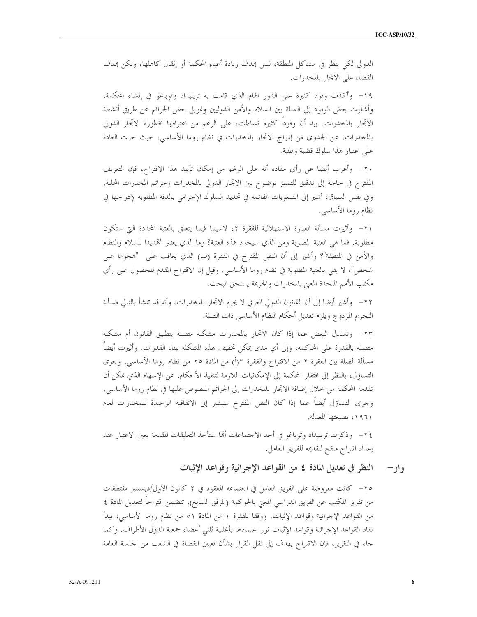6

الدولي لكي ينظر في مشاكل المنطقة، ليس بمدف زيادة أعباء المحكمة أو إثقال كاهلها، ولكن بمدف القضاء على الاتحار بالمخدرات.

١٩- وأكدت وفود كثيرة على الدور الهام الذي قامت به ترينيداد وتوباغو في إنشاء المحكمة. وأشارت بعض الوفود إلى الصلة بين السلام والأمن الدوليين وتمويل بعض الجرائم عن طريق أنشطة الاتحار بالمخدرات. بيد أن وفوداً كثيرة تساءلت، على الرغم من اعترافها بخطورة الاتحار الدولي بالمخدرات، عن الجدوى من إدراج الاتجار بالمخدرات في نظام روما الأساسي، حيث حرت العادة على اعتبار هذا سلوك قضية وطنية.

٢٠– وأعرب أيضا عن رأي مفاده أنه على الرغم من إمكان تأييد هذا الاقتراح، فإن التعريف المقترح في حاجة إلى تدقيق للتمييز بوضوح بين الاتجار الدولي بالمخدرات وجرائم المخدرات المحلية. وفي نفس السياق، أشير إلى الصعوبات القائمة في تحديد السلوك الإحرامي بالدقة المطلوبة لإدراجها في نظام روما الأساسي.

٢١– وأثيرت مسألة العبارة الاستهلالية للفقرة ٢، لاسيما فيما يتعلق بالعتبة المحددة التي ستكون مطلوبة. فما هي العتبة المطلوبة ومن الذي سيحدد هذه العتبة؟ وما الذي يعتبر "تمديدا للسلام والنظام والأمن في المنطقة"؟ وأشير إلى أن النص المقترح في الفقرة (ب) الذي يعاقب على "هجوما على شخص"، لا يفي بالعتبة المطلوبة في نظام روما الأساسي. وقيل إن الاقتراح المقدم للحصول على رأي مكتب الأمم المتحدة المعنى بالمخدرات والجريمة يستحق البحث.

٢٢– وأشير أيضا إلى أن القانون الدولي العرفي لا يجرم الاتحار بالمخدرات، وأنه قد تنشأ بالتالي مسألة التجريم المزدوج ويلزم تعديل أحكام النظام الأساسي ذات الصلة.

٢٣- وتساءل البعض عما إذا كان الاتجار بالمخدرات مشكلة متصلة بتطبيق القانون أم مشكلة متصلة بالقدرة على المحاكمة، وإلى أي مدى يمكن تخفيف هذه المشكلة ببناء القدرات. وأثيرت أيضاً مسألة الصلة بين الفقرة ٢ من الاقتراح والفقرة ٣(أ) من المادة ٢٥ من نظام روما الأساسي. وحرى التساؤل، بالنظر إلى افتقار المحكمة إلى الإمكانيات اللازمة لتنفيذ الأحكام، عن الإسهام الذي يمكن أن تقدمه المحكمة من خلال إضافة الاتحار بالمخدرات إلى الجرائم المنصوص عليها في نظام روما الأساسي. وجرى التساؤل أيضاً عما إذا كان النص المقترح سيشير إلى الاتفاقية الوحيدة للمخدرات لعام ١٩٦١، بصيغتها المعدلة.

٢٤– وذكرت ترينيداد وتوباغو في أحد الاحتماعات ألها ستأخذ التعليقات المقدمة بعين الاعتبار عند إعداد اقتراح منقح لتقديمه للفريق العامل.

> النظر في تعديل المادة ٤ من القواعد الإجرائية وقواعد الإثبات و او —

٢٥– كانت معروضة على الفريق العامل في احتماعه المعقود في ٢ كانون الأول/ديسمبر مقتطفات من تقرير المكتب عن الفريق الدراسي المعنى بالحوكمة (المرفق السابع)، تتضمن اقتراحاً لتعديل المادة ٤ من القواعد الإحرائية وقواعد الإثبات. ووفقا للفقرة ١ من المادة ٥١ من نظام روما الأساسي، يبدأ نفاذ القواعد الإحرائية وقواعد الإثبات فور اعتمادها بأغلبية ثلثى أعضاء جمعية الدول الأطراف. وكما حاء في التقرير، فإن الاقتراح يهدف إلى نقل القرار بشأن تعيين القضاة في الشعب من الجلسة العامة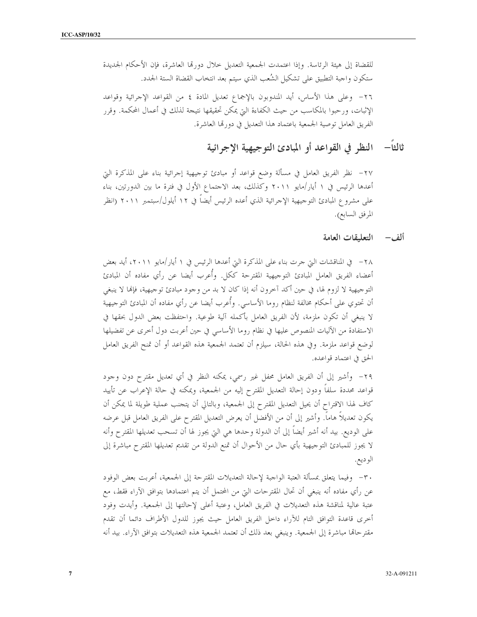للقضاة إلى هيئة الرئاسة. وإذا اعتمدت الجمعية التعديل حلال دورتما العاشرة، فإن الأحكام الجديدة ستكون واجبة التطبيق على تشكيل الشُعب الذي سيتم بعد انتخاب القضاة الستة الجدد. ٢٦- وعلى هذا الأساس، أيد المندوبون بالإجماع تعديل المادة ٤ من القواعد الإجرائية وقواعد الإثبات، ورحبوا بالمكاسب من حيث الكفاءة التي يمكن تحقيقها نتيجة لذلك في أعمال المحكمة. وقرر الفريق العامل توصية الجمعية باعتماد هذا التعديل في دورتما العاشرة.

# ثالثاً— النظر في القواعد أو المبادئ التوجيهية الإجرائية

٢٧– نظر الفريق العامل في مسألة وضع قواعد أو مبادئ توجيهية إجرائية بناء على المذكرة التي أعدها الرئيس في ١ أيار/مايو ٢٠١١ وكذلك، بعد الاحتماع الأول في فترة ما بين الدورتين، بناء على مشروع المبادئ التوجيهية الإحرائية الذي أعده الرئيس أيضاً في ١٢ أيلول/سبتمبر ٢٠١١ (انظر المرفق السابع).

### ألف— التعليقات العامة

٢٨ – في المناقشات التي جرت بناء على المذكرة التيّ أعدها الرئيس في ١ أيار/مايو ٢٠١١، أيد بعض أعضاء الفريق العامل المبادئ التوجيهية المقترحة ككل. وأُعرب أيضا عن رأي مفاده أن المبادئ التوجيهية لا لزوم لها، في حين أكد آخرون أنه إذا كان لا بد من وجود مبادئ توجيهية، فإلها لا ينبغي أن تحتوي على أحكام مخالفة لنظام روما الأساسى. وأُعرب أيضا عن رأي مفاده أن المبادئ التوجيهية لا ينبغي أن تكون ملزمة، لأن الفريق العامل بأكمله آلية طوعية. واحتفظت بعض الدول بحقها في الاستفادة من الآليات المنصوص عليها في نظام روما الأساسي في حين أعربت دول أخرى عن تفضيلها لوضع قواعد ملزمة. وفي هذه الحالة، سيلزم أن تعتمد الجمعية هذه القواعد أو أن تمنح الفريق العامل الحق في اعتماد قواعده.

٢٩- وأشير إلى أن الفريق العامل محفل غير رسمي، يمكنه النظر في أي تعديل مقترح دون وجود قواعد محددة سلفاً ودون إحالة التعديل المقترح إليه من الجمعية، ويمكنه في حالة الإعراب عن تأييد كاف لهذا الاقتراح أن يحيل التعديل المقترح إلى الجمعية، وبالتالي أن يتجنب عملية طويلة لما يمكن أن يكون تعديلاً هاماً. وأشير إلى أن من الأفضل أن يعرض التعديل المقترح على الفريق العامل قبل عرضه على الوديع. بيد أنه أشير أيضاً إلى أن الدولة وحدها هي التي يجوز لها أن تسحب تعديلها المقترح وأنه لا يجوز للمبادئ التوحيهية بأي حال من الأحوال أن تمنع الدولة من تقديم تعديلها المقترح مباشرة إلى الوديع.

٣٠– وفيما يتعلق بمسألة العتبة الواجبة لإحالة التعديلات المقترحة إلى الجمعية، أعربت بعض الوفود عن رأي مفاده أنه ينبغي أن تحال المقترحات التي من المحتمل أن يتم اعتمادها بتوافق الآراء فقط، مع عتبة عالية لمناقشة هذه التعديلات في الفريق العامل، وعتبة أعلى لإحالتها إلى الجمعية. وأيدت وفود أحرى قاعدة التوافق التام للآراء داحل الفريق العامل حيث يجوز للدول الأطراف دائما أن تقدم مقتر حالها مباشرة إلى الجمعية. وينبغي بعد ذلك أن تعتمد الجمعية هذه التعديلات بتوافق الآراء. بيد أنه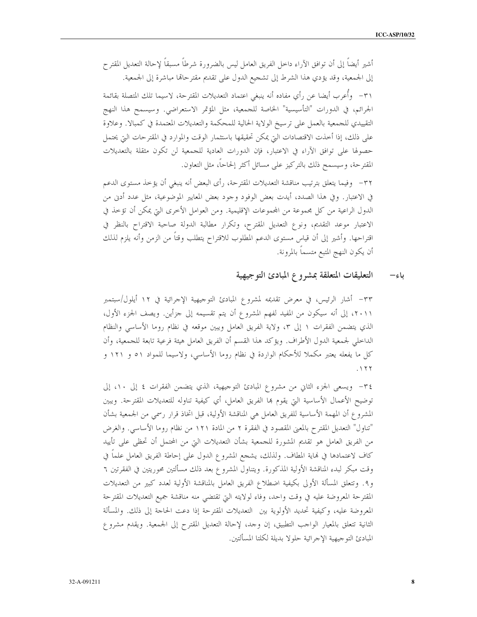أشير أيضاً إلى أن توافق الآراء داخل الفريق العامل ليس بالضرورة شرطاً مسبقاً لإحالة التعديل المقترح إلى الجمعية، وقد يؤدي هذا الشرط إلى تشجيع الدول على تقديم مقترحالها مباشرة إلى الجمعية. ٣١– وأُعرب أيضا عن رأي مفاده أنه ينبغي اعتماد التعديلات المقترحة، لاسيما تلك المتصلة بقائمة الجرائم، في الدورات "التأسيسية" الخاصة للجمعية، مثل المؤتمر الاستعراضي. وسيسمح هذا النهج التقييدي للجمعية بالعمل على ترسيخ الولاية الحالية للمحكمة والتعديلات المعتمدة في كمبالا. وعلاوة على ذلك، إذا أحذت الاقتصادات التي يمكن تحقيقها باستثمار الوقت والموارد في المقترحات التي يحتمل حصولها على توافق الآراء في الاعتبار، فإن الدورات العادية للجمعية لن تكون مثقلة بالتعديلات المقترحة، وسيسمح ذلك بالتركيز على مسائل أكثر إلحاحا، مثل التعاون.

٣٢– وفيما يتعلق بترتيب مناقشة التعديلات المقترحة، رأى البعض أنه ينبغي أن يؤخذ مستوى الدعم في الاعتبار. وفي هذا الصدد، أيدت بعض الوفود وجود بعض المعايير الموضوعية، مثل عدد أدنى من الدول الراعية من كل مجموعة من المجموعات الإقليمية. ومن العوامل الأخرى التي يمكن أن تؤخذ في الاعتبار موعد التقديم، ونوع التعديل المقترح، وتكرار مطالبة الدولة صاحبة الاقتراح بالنظر في اقتراحها. وأشير إلى أن قياس مستوى الدعم المطلوب للاقتراح يتطلب وقتاً من الزمن وأنه يلزم لذلك أن يكون النهج المتبع متسماً بالمرونة.

#### التعليقات المتعلقة بمشروع المبادئ التوجيهية ىاء—

٣٣– أشار الرئيس، في معرض تقديمه لمشروع المبادئ التوجيهية الإحرائية في ١٢ أيلول/سبتمبر ٢٠١١، إلى أنه سيكون من المفيد لفهم المشروع أن يتم تقسيمه إلى حزأين. ويصف الجزء الأول، الذي يتضمن الفقرات ١ إلى ٣، ولاية الفريق العامل ويبين موقعه في نظام روما الأساسي والنظام الداخلي لجمعية الدول الأطراف. ويؤكد هذا القسم أن الفريق العامل هيئة فرعية تابعة للجمعية، وأن كل ما يفعله يعتبر مكملاً للأحكام الواردة في نظام روما الأساسي، ولاسيما للمواد ٥١ و ١٢١ و  $.177$ 

٣٤- ويسعى الجزء الثاني من مشروع المبادئ التوجيهية، الذي يتضمن الفقرات ٤ إلى ١٠، إلى توضيح الأعمال الأساسية التي يقوم هما الفريق العامل، أي كيفية تناوله للتعديلات المقترحة. ويبين المشروع أن المهمة الأساسية للفريق العامل هي المناقشة الأولية، قبل اتخاذ قرار رسمي من الجمعية بشأن "تناول" التعديل المقترح بالمعنى المقصود في الفقرة ٢ من المادة ١٢١ من نظام روما الأساسي. والغرض من الفريق العامل هو تقديم المشورة للجمعية بشأن التعديلات التي من المحتمل أن تحظى على تأييد كاف لاعتمادها في نماية المطاف. ولذلك، يشجع المشروع الدول على إحاطة الفريق العامل علماً في وقت مبكر لبدء المناقشة الأولية المذكورة. ويتناول المشروع بعد ذلك مسألتين محوريتين في الفقرتين ٦ و٩. وتتعلق المسألة الأولى بكيفية اضطلاع الفريق العامل بالمناقشة الأولية لعدد كبير من التعديلات المقترحة المعروضة عليه في وقت واحد، وفاء لولايته التي تقتضي منه مناقشة جميع التعديلات المقترحة المعروضة عليه، وكيفية تحديد الأولوية بين التعديلات المقترحة إذا دعت الحاحة إلى ذلك. والمسألة الثانية تتعلق بالمعيار الواحب التطبيق، إن وحد، لإحالة التعديل المقترح إلى الجمعية. ويقدم مشروع المبادئ التوجيهية الإجرائية حلولا بديلة لكلتا المسألتين.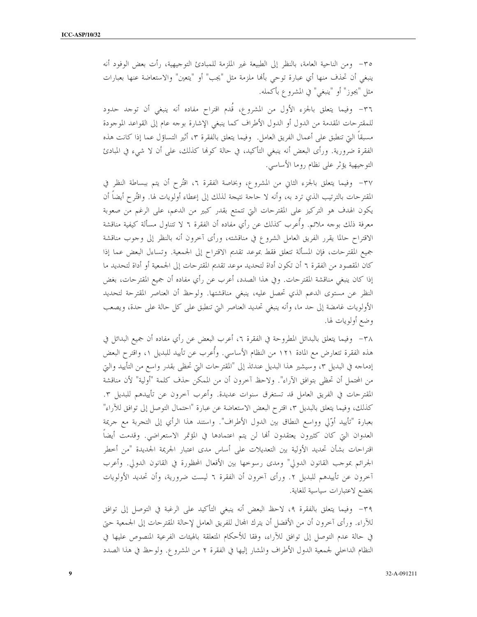٣٥– ومن الناحية العامة، بالنظر إلى الطبيعة غير الملزمة للمبادئ التوجيهية، رأت بعض الوفود أنه ينبغي أن تحذف منها أي عبارة توحي بألها ملزمة مثل "يجب" أو "يتعين" والاستعاضة عنها بعبارات مثل "يجوز" أو "ينبغي" في المشروع بأكمله.

٣٦- وفيما يتعلق بالجزء الأول من المشروع، قدم اقتراح مفاده أنه ينبغي أن توجد حدود للمقترحات المقدمة من الدول أو الدول الأطراف كما ينبغي الإشارة بوجه عام إلى القواعد الموجودة مسبقاً التي تنطبق على أعمال الفريق العامل. وفيما يتعلق بالفقرة ٣، أثير التساؤل عما إذا كانت هذه الفقرة ضرورية. ورأى البعض أنه ينبغي التأكيد، في حالة كوها كذلك، على أن لا شيء في المبادئ التوجيهية يؤثِّر على نظام روما الأساسي.

٣٧– وفيما يتعلق بالجزء الثاني من المشروع، وبخاصة الفقرة ٦، افْتُرح أن يتم ببساطة النظر في المقترحات بالترتيب الذي ترد به، وأنه لا حاجة نتيجة لذلك إلى إعطاء أولويات لها. واقتُرح أيضاً أن يكون الهدف هو التركيز على المقترحات التي تتمتع بقدر كبير من الدعم، على الرغم من صعوبة معرفة ذلك بوجه ملائم. وأعرب كذلك عن رأي مفاده أن الفقرة ٦ لا تتناول مسألة كيفية مناقشة الاقتراح حالما يقرر الفريق العامل الشروع في مناقشته، ورأى آخرون أنه بالنظر إلى وجوب مناقشة جميع المقترحات، فإن المسألة تتعلق فقط بموعد تقديم الاقتراح إلى الجمعية. وتساءل البعض عما إذا كان المقصود من الفقرة ٦ أن تكون أداة لتحديد موعد تقديم المقترحات إلى الجمعية أو أداة لتحديد ما إذا كان ينبغي مناقشة المقترحات. وفي هذا الصدد، أعرب عن رأي مفاده أن جميع المقترحات، بغض النظر عن مستوى الدعم الذي تحصل عليه، ينبغي مناقشتها. ولوحظ أن العناصر المقترحة لتحديد الأولويات غامضة إلى حد ما، وأنه ينبغي تحديد العناصر التي تنطبق على كل حالة على حدة، ويصعب وضع أولويات لها.

٣٨ - وفيما يتعلق بالبدائل المطروحة في الفقرة ٢، أعرب البعض عن رأي مفاده أن جميع البدائل في هذه الفقرة تتعارض مع المادة ١٢١ من النظام الأساسي. وأُعرب عن تأييد للبديل ١، واقترح البعض إدماجه في البديل ٣، وسيشير هذا البديل عندئذ إلى "المقترحات التي تحظى بقدر واسع من التأييد والتي من المحتمل أن تحظى بتوافق الآراء". ولاحظ آخرون أن من الممكن حذف كلمة "أولية" لأن مناقشة المقترحات في الفريق العامل قد تستغرق سنوات عديدة. وأعرب آخرون عن تأييدهم للبديل ٣. كذلك، وفيما يتعلَّق بالبديل ٣، اقترح البعض الاستعاضة عن عبارة "احتمال التوصل إلى توافق للآراء" بعبارة "تأييد أوّلي وواسع النطاق بين الدول الأطراف". واستند هذا الرأي إلى التجربة مع جريمة العدوان التي كان كثيرون يعتقدون ألها لن يتم اعتمادها في المؤتمر الاستعراضي. وقدمت أيضا اقتراحات بشأن تحديد الأولية بين التعديلات على أساس مدى اعتبار الجريمة الجديدة "من أحطر الجرائم بموجب القانون الدولي" ومدى رسوحها بين الأفعال المحظورة في القانون الدولي. وأعرب آخرون عن تأييدهم للبديل ٢. ورأى آخرون أن الفقرة ٦ ليست ضرورية، وأن تحديد الأولويات يخضع لاعتبارات سياسية للغاية.

٣٩– وفيما يتعلق بالفقرة ٩، لاحظ البعض أنه ينبغي التأكيد على الرغبة في التوصل إلى توافق للآراء. ورأى آخرون أن من الأفضل أن يترك المحال للفريق العامل لإحالة المقترحات إلى الجمعية حتى في حالة عدم التوصل إلى توافق للآراء، وفقا للأحكام المتعلقة بالهيئات الفرعية المنصوص عليها في النظام الداخلي لجمعية الدول الأطراف والمشار إليها في الفقرة ٢ من المشروع. ولوحظ في هذا الصدد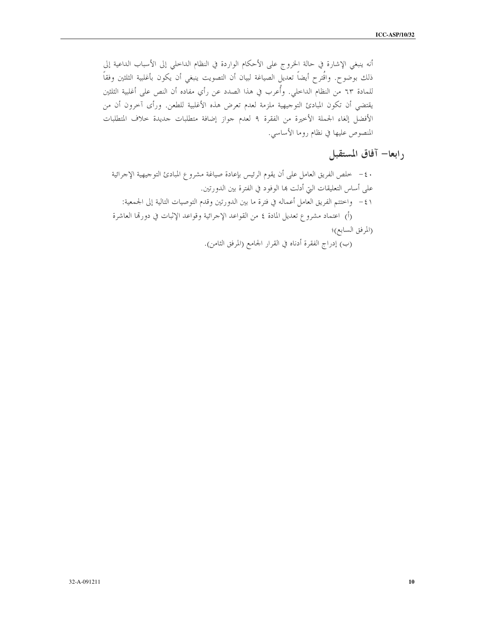أنه ينبغي الإشارة في حالة الخروج على الأحكام الواردة في النظام الداخلي إلى الأسباب الداعية إلى ذلك بوضوح. واقُترح أيضاً تعديل الصياغة لبيان أن التصويت ينبغي أن يكون بأغلبية الثلثين وفقاً للمادة ٦٣ من النظام الداخلي. وأُعرب في هذا الصدد عن رأي مفاده أن النص على أغلبية الثلثين يقتضى أن تكون المبادئ التوجيهية ملزمة لعدم تعرض هذه الأغلبية للطعن. ورأى آخرون أن من الأفضل إلغاء الجملة الأخيرة من الفقرة ٩ لعدم جواز إضافة متطلبات جديدة حلاف المتطلبات المنصوص عليها في نظام روما الأساسي.

### رابعا– آفاق المستقبل

· ٤ – خلص الفريق العامل على أن يقوم الرئيس بإعادة صياغة مشروع المبادئ التوجيهية الإجرائية على أساس التعليقات التي أدلت بما الوفود في الفترة بين الدورتين. ٤١ – واختتم الفريق العامل أعماله في فترة ما بين الدورتين وقدم التوصيات التالية إلى الجمعية: (أ) اعتماد مشروع تعديل المادة ٤ من القواعد الإجرائية وقواعد الإثبات في دورتما العاشرة (المرفق السابع)؛

(ب) إدراج الفقرة أدناه في القرار الجامع (المرفق الثامن).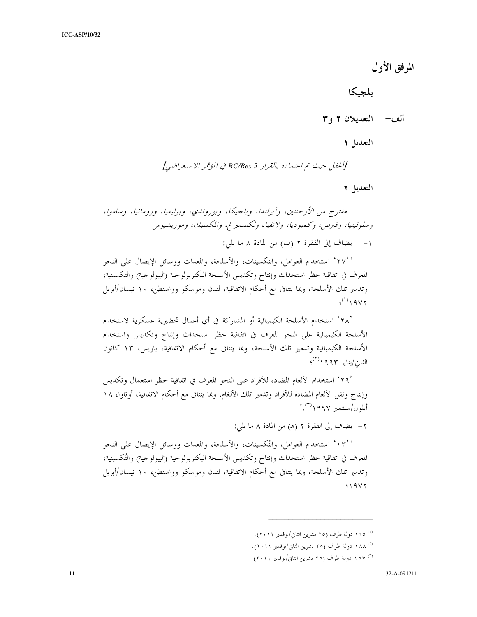المرفق الأول

ىلجىكا

ألف– التعديلان ۲ و ۳

التعديل ١

[أغفل حيث تم اعتماده بالقرار RC/Res.5 في المؤتمر الاستعراضي]

التعديل ٢

مقترح من الأرجنتين، وآيرلندا، وبلجيكا، وبوروندي، وبوليفيا، ورومانيا، وساموا، وسلوفينيا، وقبرص، وكمبوديا، ولاتفيا، ولكسمبرغ، والمكسيك، وموريشيوس يضاف إلى الفقرة ٢ (ب) من المادة ٨ ما يلي:  $-1$ 

"٬۲۷٬ استخدام العوامل، والتكسينات، والأسلحة، والمعدات ووسائل الإيصال على النحو المعرف في اتفاقية حظر استحداث وإنتاج وتكديس الأسلحة البكتريولوجية (البيولوجية) والتكسينية، وتدمير تلك الأسلحة، وبما يتنافى مع أحكام الاتفاقية، لندن وموسكو وواشنطن، ١٠ نيسان/أبريل  $(')$   $9V$ 

٬۲۸٬ استخدام الأسلحة الكيميائية أو المشاركة في أي أعمال تحضيرية عسكرية لاستخدام الأسلحة الكيميائية على النحو المعرف في اتفاقية حظر استحداث وإنتاج وتكديس واستخدام الأسلحة الكيميائية وتدمير تلك الأسلحة، وبما يتنافى مع أحكام الاتفاقية، باريس، ١٣ كانون  $\langle\langle\rangle\rangle$ الثانی/بنایه ۱۹۹۳

'۲۹ ' استخدام الألغام المضادة للأفراد على النحو المعرف في اتفاقية حظر استعمال وتكديس وإنتاج ونقل الألغام المضادة للأفراد وتدمير تلك الألغام، وبما يتنافى مع أحكام الاتفاقية، أوتاوا، ١٨  $\langle \hat{r} \rangle$ أيلول/سبتمبر ١٩٩٧

٢- يضاف إلى الفقرة ٢ (هـ) من المادة ٨ ما يلي:

"١٣ استخدام العوامل، والتُكسينات، والأسلحة، والمعدات ووسائل الإيصال على النحو المعرف في اتفاقية حظر استحداث وإنتاج وتكديس الأسلحة البكتريولوجية (البيولوجية) والتُكسينية، وتدمير تلك الأسلحة، وبما يتنافى مع أحكام الاتفاقية، لندن وموسكو وواشنطن، ١٠ نيسان/أبريل  $419Y$ 

- <sup>(۱)</sup> ١٦٥ دولة طرف (٢٥ تشرين الثاني/نوفمبر ٢٠١١).
- <sup>(٢)</sup> ١٨٨ دولة طرف (٢٥ تشرين الثاني/نوفمبر ٢٠١١).
- (٢) ١٥٧ دولة طرف (٢٥ تشرين الثاني/نوفمبر ٢٠١١).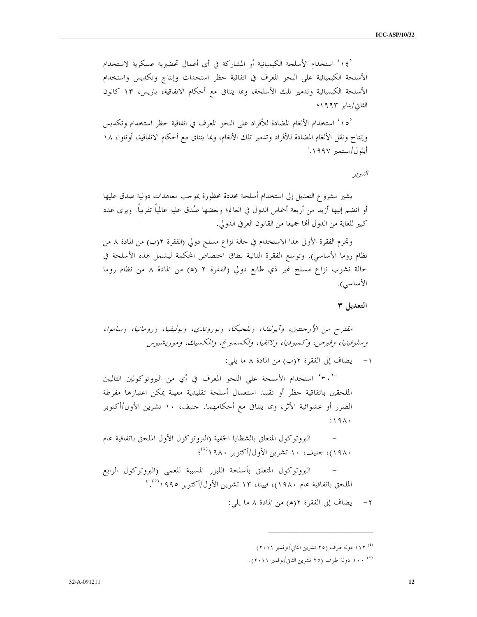'١٤° استخدام الأسلحة الكيميائية أو المشاركة في أي أعمال تحضيرية عسكرية لاستخدام الأسلحة الكيميائية على النحو المعرف في اتفاقية حظر استحداث وإنتاج وتكديس واستخدام الأسلحة الكيميائية وتدمير تلك الأسلحة، وبما يتنافى مع أحكام الاتفاقية، باريس، ١٣ كانون الثانى/يناير ١٩٩٣؛

'١٥° استخدام الألغام المضادة للأفراد على النحو المعرف في اتفاقية حظر استخدام وتكديس وإنتاج ونقل الألغام المضادة للأفراد وتدمير تلك الألغام، وبما يتنافى مع أحكام الاتفاقية، أوتاوا، ١٨ أيلول/سبتمبر ١٩٩٧."

### التبرير

يشير مشروع التعديل إلى استخدام أسلحة محددة محظورة بموجب معاهدات دولية صدق عليها أو انضم إليها أزيد من أربعة أخماس الدول في العالم؛ وبعضها صُدق عليه عالمياً تقريباً. ويرى عدد كبير للغاية من الدول ألها جميعا من القانون العرفي الدولي.

وتجرم الفقرة الأولى هذا الاستخدام في حالة نزاع مسلح دولي (الفقرة ٢(ب) من المادة ٨ من نظام روما الأساسي). وتوسع الفقرة الثانية نطاق اختصاص المحكمة ليشمل هذه الأسلحة في حالة نشوب نزاع مسلح غير ذي طابع دولي (الفقرة ٢ (هـ) من المادة ٨ من نظام روما الأساسي).

التعديل ٣

١- يضاف إلى الفقرة ٢(ب) من المادة ٨ ما يلي:

"`٣٠' استخدام الأسلحة على النحو المعرف في أي من البروتوكولين التاليين الملحقين باتفاقية حظر أو تقييد استعمال أسلحة تقليدية معينة يمكن اعتبارها مفرطة الضرر أو عشوائية الأثر، وبما يتنافى مع أحكامهما. حنيف، ١٠ تشرين الأول/أكتوبر  $:19A.$ 

البروتوكول المتعلق بالشظايا الحفية (البروتوكول الأول الملحق باتفاقية عام ۱۹۸۰)، حنیف، ۱۰ تشرین الأول/أكتوبر ۱۹۸۰<sup>(٤)</sup>؛

البروتوكول المتعلق بأسلحة الليزر المسببة للعمى (البروتوكول الرابع الملحق باتفاقية عام ١٩٨٠)، فيينا، ١٣ تشرين الأول/أكتوبر ١٩٩٥°."

٢- يضاف إلى الفقرة ٢(هـ) من المادة ٨ ما يلي:

<sup>&</sup>lt;sup>(٤)</sup> ١١٢ دولة طرف (٢٥ تشرين الثاني/نوفمبر ٢٠١١).

<sup>(°)</sup> ١٠٠ دولة طرف (٢٥ تشرين الثاني/نوفمبر ٢٠١١).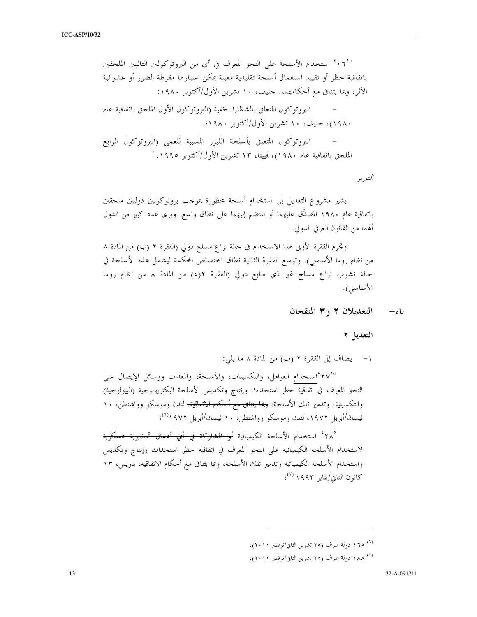"`١٦' استخدام الأسلحة على النحو المعرف في أي من البروتوكولين التاليين الملحقين باتفاقية حظر أو تقييد استعمال أسلحة تقليدية معينة يمكن اعتبارها مفرطة الضرر أو عشوائية الأثر، وبما يتنافى مع أحكامهما. حنيف، ١٠ تشرين الأول/أكتوبر ١٩٨٠: البروتوكول المتعلق بالشظايا الحفية (البروتوكول الأول الملحق باتفاقية عام ۱۹۸۰)، جنيف، ۱۰ تشرين الأول/أكتوبر ۱۹۸۰؛ البروتوكول المتعلق بأسلحة الليزر المسببة للعمى (البروتوكول الرابع الملحق باتفاقية عام ١٩٨٠)، فيينا، ١٣ تشرين الأول/أكتوبر ١٩٩٥."

التبرير

يشير مشروع التعديل إلى استخدام أسلحة محظورة بموجب بروتوكولين دوليين ملحقين باتفاقية عام ١٩٨٠ المصدَّق عليهما أو المنضم إليهما على نطاق واسع. ويرى عدد كبير من الدول ألهما من القانون العرفي الدولي.

وتجرم الفقرة الأولى هذا الاستخدام في حالة نزاع مسلح دولي (الفقرة ٢ (ب) من المادة ٨ من نظام روما الأساسي). وتوسع الفقرة الثانية نطاق اختصاص المحكمة ليشمل هذه الأسلحة في حالة نشوب نزاع مسلح غير ذي طابع دولي (الفقرة ٢(ه) من المادة ٨ من نظام روما الأساسي).

> التعديلان ٢ و٣ المنقحان باء–

> > التعديل ٢

١- يضاف إلى الفقرة ٢ (ب) من المادة ٨ ما يلي:

"٢٧" استخدام العوامل، والتكسينات، والأسلحة، والمعدات ووسائل الإيصال على النحو المعرف في اتفاقية حظر استحداث وإنتاج وتكديس الأسلحة البكتريولوجية (البيولوجية) والتكسينية، وتدمير تلك الأسلحة، <del>وبما يتنافى مع أحكام الاتفاقية،</del> لندن وموسكو وواشنطن، ١٠ نيسان/أبريل ١٩٧٢، لندن وموسكو وواشنطن، ١٠ نيسان/أبريل ١٩٧٢/ (آ)؛

٬۲۸٬ استخدام الأسلحة الكيميائية <del>أو المشاركة في أي أعمال تحضيرية عسكرية</del> <del>لاستخدام الأسلحة الكيميائية ع</del>لى النحو المعرف في اتفاقية حظر استحداث وإنتاج وتكديس واستخدام الأسلحة الكيميائية وتدمير تلك الأسلحة، <del>وبما يتنافى مع أحكام الاتفاقية</del>، باريس، ١٣  $\mathcal{C}^{(V)}$  كانون الثان/بناير ۱۹۹۳ كانون

<sup>&</sup>lt;sup>(٦)</sup> ١٦٥ دولة طرف (٢٥ تشرين الثاني/نوفمبر ٢٠١١).

<sup>(&</sup>lt;sup>٧)</sup> ١٨٨ دولة طرف (٢٥ تشرين الثاني/نوفمبر ٢٠١١).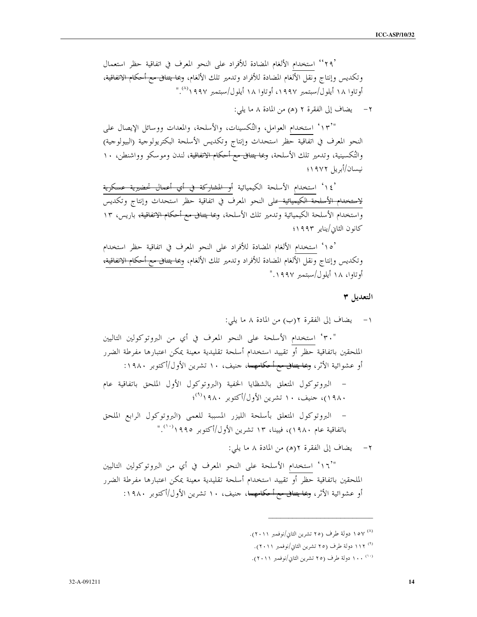٬۲۹٬ استخدام الألغام المضادة للأفراد على النحو المعرف في اتفاقية حظر استعمال وتكديس وإنتاج ونقل الألغام المضادة للأفراد وتدمير تلك الألغام، <del>وبما يتنافى مع أحكام الاتفاقية</del>، أو تاوا ١٨ أيلول/سبتمبر ١٩٩٧، أو تاوا ١٨ أيلول/سبتمبر ١٩٩٧\(^)."

٢- يضاف إلى الفقرة ٢ (هـ) من المادة ٨ ما يلي:

"١٣" استخدام العوامل، والتُكسينات، والأسلحة، والمعدات ووسائل الإيصال على النحو المعرف في اتفاقية حظر استحداث وإنتاج وتكديس الأسلحة البكتريولوجية (البيولوجية) والتُكسينية، وتدمير تلك الأسلحة، <del>وبما يتنافى مع أحكام الاتفاقية</del>، لندن وموسكو وواشنطن، ١٠ نيسان/أبريل ١٩٧٢؛

'١٤<sup>،</sup> استخدام الأسلحة الكيميائية <del>أو المشاركة في أي أعمال تحضيرية عسكرية</del><br><del>لاستخدام الأسلحة الكيميائية </del>على النحو المعرف في اتفاقية حظر استحداث وإنتاج وتكديس .<br>واستخدام الأسلحة الكيميائية وتدمير تلك الأسلحة، <del>وبما يتنافى مع أحكام الاتفاقية،</del> باريس، ١٣ كانون الثابي/يناير ١٩٩٣؛

`١٥ ' استخدام الألغام المضادة للأفراد على النحو المعرف في اتفاقية حظر استخدام وتكديس وإنتاج ونقل الألغام المضادة للأفراد وتدمير تلك الألغام، <del>وبما يتنافى مع أحكام الاتفاقية،</del> أو تاوا، ۱۸ أيلول/سبتمبر ۱۹۹۷."

التعديل ٣

- ۰<sup>۸)</sup> ۱۰۷ دولة طرف (۲۰ تشرين الثاني/نوفمبر ۲۰۱۱).
- <sup>(٩)</sup> ١١٢ دولة طرف (٢٥ تشرين الثاني/نوفمبر ٢٠١١).
- <sup>(۱۰)</sup> ۱۰۰ دولة طرف (۲۰ تشرين الثاني/نوفمبر ۲۰۱۱).

 $14$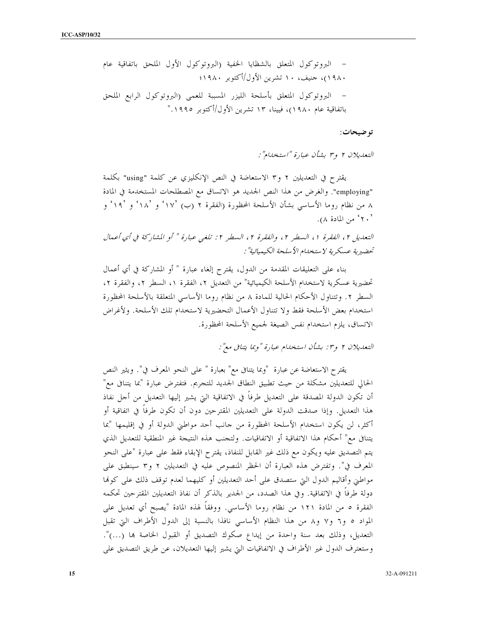تو ضيحات:

التعليلان ٢ و٣ بشأن عبارة "استخلاام":

يقترح في التعديلين ٢ و٣ الاستعاضة في النص الإنكليزي عن كلمة "using" بكلمة "employing". والغرض من هذا النص الجديد هو الاتساق مع المصطلحات المستخدمة في المادة ٨ من نظام روما الأساسي بشأن الأسلحة المحظورة (الفقرة ٢ (ب) ١٧ ْ و ١٨ ْ و ١٩ ْ و ف ٬ ۲۰٬ من المادة ۸).

التعديل ٢ ، الفقرة ١ ، السطر ٢ ، والفقرة ٢ ، السطر ٢ : تلغي عبارة " أو المشاركة في أي أعمال تحضيرية عسكرية لاستخلام الأسلحة الكيميائية" :

بناء على التعليقات المقدمة من الدول، يقترح إلغاء عبارة " أو المشاركة في أي أعمال تحضيرية عسكرية لاستخدام الأسلحة الكيميائية" من التعديل ٢، الفقرة ١، السطر ٢، والفقرة ٢، السطر ٢. وتتناول الأحكام الحالية للمادة ٨ من نظام روما الأساسي المتعلقة بالأسلحة المحظورة استخدام بعض الأسلحة فقط ولا تتناول الأعمال التحضيرية لاستخدام تلك الأسلحة. ولأغراض الاتساق، يلزم استخدام نفس الصيغة لجميع الأسلحة المحظورة.

التعديلان ٢ و٣: بشأن استخدام عبارة "وبما يتنافى مع":

يقترح الاستعاضة عن عبارة "وبما يتنافى مع" بعبارة " على النحو المعرف في". ويثير النص الحالي للتعديلين مشكلة من حيث تطبيق النطاق الجديد للتجريم. فتفترض عبارة "بما يتنافى مع" أن تكون الدولة المصدقة على التعديل طرفاً في الاتفاقية التي يشير إليها التعديل من أحل نفاذ هذا التعديل. وإذا صدقت الدولة على التعديلين المقترحين دون أن تكون طرفاً في اتفاقية أو أكثر، لن يكون استخدام الأسلحة المحظورة من حانب أحد مواطني الدولة أو في إقليمها "بما يتنافى مع" أحكام هذا الاتفاقية أو الاتفاقيات. ولتجنب هذه النتيجة غير المنطقية للتعديل الذي يتم التصديق عليه ويكون مع ذلك غير القابل للنفاذ، يقترح الإبقاء فقط على عبارة "على النحو المعرف في". وتفترض هذه العبارة أن الحظر المنصوص عليه في التعديلين ٢ و٣ سينطبق على مواطني وأقاليم الدول التي ستصدق على أحد التعديلين أو كليهما لعدم توقف ذلك على كولها دولة طرفاً في الاتفاقية. وفي هذا الصدد، من الجدير بالذكر أن نفاذ التعديلين المقترحين تحكمه الفقرة ٥ من المادة ١٢١ من نظام روما الأساسي. ووفقاً لهذه المادة "يصبح أي تعديل على المواد ٥ و٦ و٧ و٨ من هذا النظام الأساسي نافذا بالنسبة إلى الدول الأطراف التي تقبل التعديل، وذلك بعد سنة واحدة من إيداع صكوك التصديق أو القبول الخاصة بما (…)". وستعترف الدول غير الأطراف في الاتفاقيات التي يشير إليها التعديلان، عن طريق التصديق على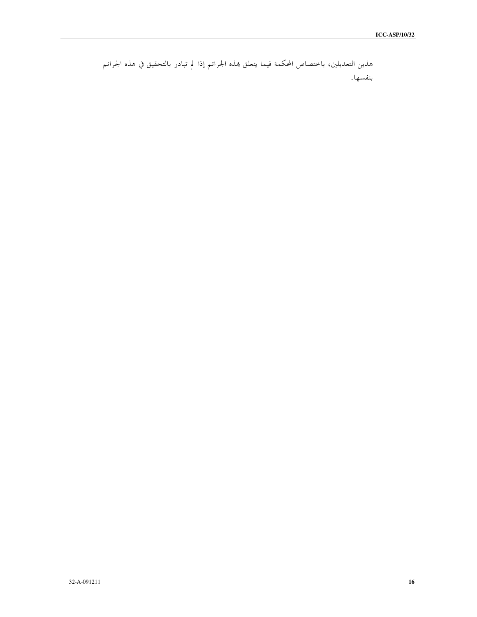```
هذين التعديلين، باختصاص المحكمة فيما يتعلق هذه الجرائم إذا لم تبادر بالتحقيق في هذه الجرائم
                                                                      بنفسها.
```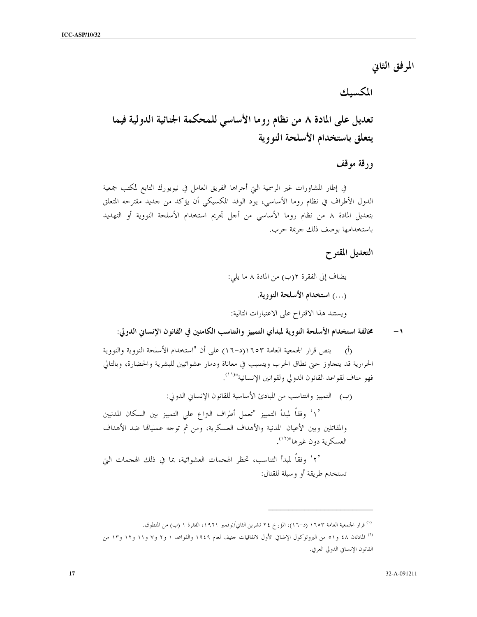المرفق الثاني

المكسيك

تعديل على المادة ٨ من نظام روما الأساسي للمحكمة الجنائية الدولية فيما يتعلق باستخدام الأسلحة النووية

ورقة موقف

في إطار المشاورات غير الرسمية التي أحراها الفريق العامل في نيويورك التابع لمكتب جمعية الدول الأطراف في نظام روما الأساسي، يود الوفد المكسيكي أن يؤكد من جديد مقترحه المتعلق بتعديل المادة ٨ من نظام روما الأساسي من أجل تجريم استخدام الأسلحة النووية أو التهديد باستخدامها بوصف ذلك جريمة حرب.

التعديل المقتوح

يضاف إلى الفقرة ٢(ب) من المادة ٨ ما يلي: (...) استخدام الأسلحة النووية. ويستند هذا الاقتراح على الاعتبارات التالية:

مخالفة استخدام الأسلحة النووية لمبدأي التمييز والتناسب الكامنين في القانون الإنساني الدولي:  $-1$ 

ينص قرار الجمعية العامة ١٦٥٣(د-١٦) على أن "استخدام الأسلحة النووية والنووية  $\overline{(\mathfrak{h})}$ الحرارية قد يتجاوز حتى نطاق الحرب ويتسبب في معاناة ودمار عشوائيين للبشرية والحضارة، وبالتالي فهو مناف لقواعد القانون الدولي ولقوانين الإنسانية"<sup>(١١)</sup>.

(ب) التمييز والتناسب من المبادئ الأساسية للقانون الإنساني الدولي: `۱ ٗ وفقاً لمبدأ التمييز "تعمل أطراف التزاع على التمييز بين السكان المدنيين والمقاتلين وبين الأعيان المدنية والأهداف العسكرية، ومن ثم توجه عملياقما ضد الأهداف العسكرية دون غيرها"<sup>(١٢)</sup>.

٬۲٬ وفقاً لمبدأ التناسب، تحظر الهجمات العشوائية، بما في ذلك الهجمات التي تستخدم طريقة أو وسيلة للقتال:

<sup>&</sup>lt;sup>(١)</sup> قرار الجمعية العامة ١٦٥٣ (د–١٦)، المؤرخ ٢٤ تشرين الثاني/نوفمبر ١٩٦١، الفقرة ١ (ب) من المنطوق. <sup>(٢)</sup> المادتان ٤٨ و٥١ من البروتوكول الإضافي الأول لاتفاقيات حنيف لعام ١٩٤٩ والقواعد ١ و٢ و٧ و١١ و١٢ و١٣ من القانون الإنساني الدولي العرفي.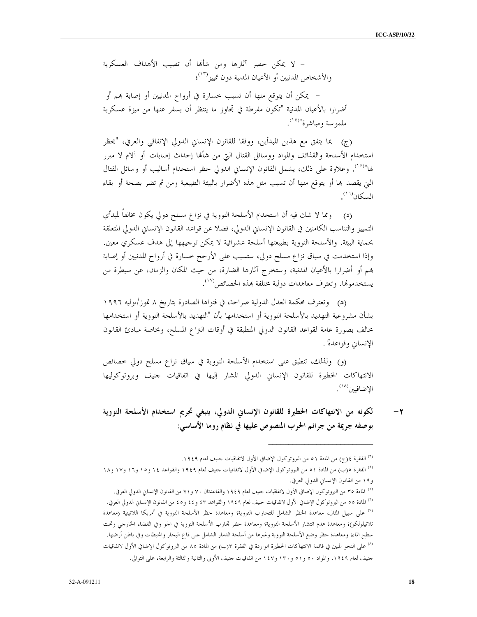– لا يمكن حصر آثارها ومن شألها أن تصيب الأهداف العسكرية والأشخاص المدنيين أو الأعيان المدنية دون تمييز<sup>(١٣)</sup>؛ – يمكن أن يتوقع منها أن تسبب حسارة في أرواح المدنيين أو إصابة هم أو أضرارا بالأعيان المدنية "تكون مفرطة في تجاوز ما ينتظر أن يسفر عنها من ميزة عسكرية ملموسة ومباشرة"<sup>(١٤)</sup>.

(ج) .مما يتفق مع هذين المبدأين، ووفقا للقانون الإنساني الدولي الإتفاقي والعرفي، "يحظر استخدام الأسلحة والقذائف والمواد ووسائل القتال التي من شألها إحداث إصابات أو آلام لا مبرر لها"<sup>(١٥)</sup>. وعلاوة على ذلك، يشمل القانون الإنساني الدولي حظر استخدام أساليب أو وسائل القتال التي يقصد ها أو يتوقع منها أن تسبب مثل هذه الأضرار بالبيئة الطبيعية ومن ثم تضر بصحة أو بقاء السكان<sup>(١٦)</sup>

ومما لا شك فيه أن استخدام الأسلحة النووية في نزاع مسلح دولي يكون مخالفاً لمبدأي  $(\circ)$ التمييز والتناسب الكامنين في القانون الإنساني الدولي، فضلا عن قواعد القانون الإنساني الدولي المتعلقة بحماية البيئة. والأسلحة النووية بطبيعتها أسلحة عشوائية لا يمكن توجيهها إلى هدف عسكري معين. وإذا استخدمت في سياق نزاع مسلح دولى، ستسبب على الأرجح خسارة في أرواح المدنيين أو إصابة هِم أو أضرارا بالأعيان المدنية، وستخرج آثارِها الضارة، من حيث المكان والزمان، عن سيطرة من يستخدموها. وتعترف معاهدات دولية مختلفة بمذه الخصائص (```).

(هـ) وتعترف محكمة العدل الدولية صراحة، في فتواها الصادرة بتاريخ ٨ تموز/يوليه ١٩٩٦ بشأن مشروعية التهديد بالأسلحة النووية أو استخدامها بأن "التهديد بالأسلحة النووية أو استخدامها مخالف بصورة عامة لقواعد القانون الدولى المنطبقة في أوقات التزاع المسلح، وبخاصة مبادئ القانون الإنساني وقواعدهٌ .

(و) ولذلك، تنطبق على استخدام الأسلحة النووية في سياق نزاع مسلح دولي خصائص الانتهاكات الخطيرة للقانون الإنساني الدولي المشار إليها في اتفاقيات حنيف وبروتوكوليها الإضافيين<sup>(١٨</sup>).

لكونه من الانتهاكات الخطيرة للقانون الإنساني الدولي، ينبغي تجريم استخدام الأسلحة النووية  $-\tau$ بوصفه جريمة من جرائم الحرب المنصوص عليها في نظام روما الأساسي:

<sup>(٣)</sup> الفقرة ٤(ج) من المادة ٥١ من البروتوكول الإضافي الأول لاتفاقيات حنيف لعام ١٩٤٩.

<sup>&</sup>lt;sup>(٤)</sup> الفقرة ٥(ب) من المادة ٥١ من البروتوكول الإضافي الأول لاتفاقيات حنيف لعام ١٩٤٩ والقواعد ١٤ و١٥ و١٦ و١٧ و١٨ و١٩ من القانون الإنساني الدولي العرفي.

<sup>°′</sup> المادة ٣٥ من البروتوكول الإضافي الأول لاتفاقيات حنيف لعام ١٩٤٩ والقاعدتان ٧٠ و ٧١ من القانون الإنسان الدولي العرفي. <sup>(٦)</sup> المادة ٥٥ من البروتوكول الإضافي الأول لاتفاقيات حنيف لعام ١٩٤٩ والقواعد ٤٣ و٤٤ و٤٥ من القانون الإنساني الدولي العرفي. <sup>(٧)</sup> على سبيل المثال، معاهدة الحظر الشامل للتحارب النووية؛ ومعاهدة حظر الأسلحة النووية في أمريكا اللاتينية (معاهدة تلاتيلولكو)؛ ومعاهدة عدم انتشار الأسلحة النووية؛ ومعاهدة حظر تجارب الأسلحة النووية في الجو وفي الفضاء الخارجي وتحت سطح الماء؛ ومعاهدة حظر وضع الأسلحة النووية وغيرها من أسلحة الدمار الشامل على قاع البحار والمحيطات وفي باطن أرضها. <sup>(٨)</sup> على النحو المبين في قائمة الانتهاكات الخطيرة الواردة في الفقرة ٣(ب) من المادة ٨٥ من البروتوكول الإضافي الأول لاتفاقيات حنيف لعام ١٩٤٩، والمواد ٥٠ و٥١ و ١٣٠ و١٤٧ من اتفاقيات حنيف الأولى والثانية والثالثة والرابعة، على التوالي.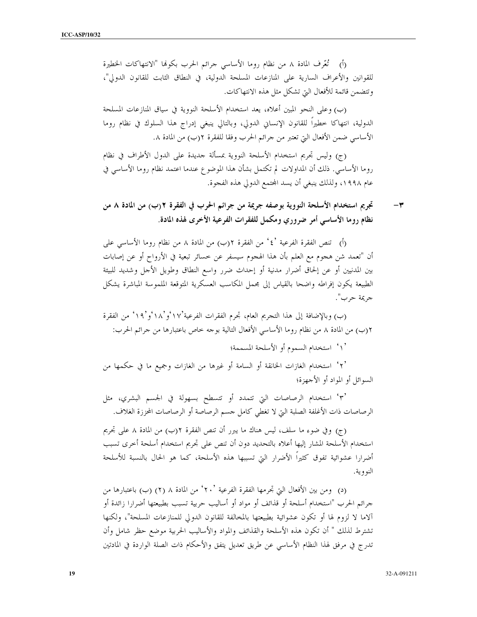(أ) تُعَّرف المادة ٨ من نظام روما الأساسي حرائم الحرب بكولها "الانتهاكات الخطيرة للقوانين والأعراف السارية على المنازعات المسلحة الدولية، في النطاق الثابت للقانون الدولي"، وتتضمن قائمة للأفعال التي تشكل مثل هذه الانتهاكات.

(ب) وعلى النحو المبين أعلاه، يعد استخدام الأسلحة النووية في سياق المنازعات المسلحة الدولية، انتهاكا حطيرا للقانون الإنساني الدولي، وبالتالي ينبغي إدراج هذا السلوك في نظام روما الأساسي ضمن الأفعال التي تعتبر من حرائم الحرب وفقا للفقرة ٢(ب) من المادة ٨.

(ج) وليس تجريم استخدام الأسلحة النووية بمسألة حديدة على الدول الأطراف في نظام روما الأساسي. ذلك أن المداولات لم تكتمل بشأن هذا الموضوع عندما اعتمد نظام روما الأساسي في عام ١٩٩٨، ولذلك ينبغي أن يسد المحتمع الدولي هذه الفجوة.

تجريم استخدام الأسلحة النووية بوصفه جريمة من جرائم الحرب في الفقرة ٢(ب) من المادة ٨ من  $-\tau$ نظام روما الأساسي أمر ضروري ومكمل للفقرات الفرعية الأخرى لهذه المادة.

(أ) تنص الفقرة الفرعية '٤' من الفقرة ٢(ب) من المادة ٨ من نظام روما الأساسي على أن "تعمد شن هجوم مع العلم بأن هذا الهجوم سيسفر عن خسائر تبعية في الأرواح أو عن إصابات بين المدنيين أو عن إلحاق أضرار مدنية أو إحداث ضرر واسع النطاق وطويل الأجل وشديد للبيئة الطبيعة يكون إفراطه واضحا بالقياس إلى مجمل المكاسب العسكرية المتوقعة الملموسة المباشرة يشكل جريمة حرب".

(ب) وبالإضافة إلى هذا التجريم العام، تجرم الفقرات الفرعية'١٧ وُ`١٨ و'١٩ من الفقرة ٢(ب) من المادة ٨ من نظام روما الأساسي الأفعال التالية بوحه خاص باعتبارها من جرائم الحرب:

` \ ` استخدام السموم أو الأسلحة المسممة؛

'٢' استخدام الغازات الخانقة أو السامة أو غيرها من الغازات وجميع ما في حكمها من السوائل أو المواد أو الأجهزة؛

°۳' استخدام الرصاصات التي تتمدد أو تتسطح بسهولة في الجسم البشري، مثل الرصاصات ذات الأغلفة الصلبة التي لا تغطي كامل جسم الرصاصة أو الرصاصات المحززة الغلاف.

(ج) وفي ضوء ما سلف، ليس هناك ما يبرر أن تنص الفقرة ٢(ب) من المادة ٨ على تجريم استخدام الأسلحة المشار إليها أعلاه بالتحديد دون أن تنص على تجريم استخدام أسلحة أخرى تسبب أضرارا عشوائية تفوق كثيراً الأضرار التي تسببها هذه الأسلحة، كما هو الحال بالنسبة للأسلحة النووية.

(د) ومن بين الأفعال التي تجرمها الفقرة الفرعية `٢٠ ٗ من المادة ٨ (٢) (ب) باعتبارها من جرائم الحرب "استخدام أسلحة أو قذائف أو مواد أو أساليب حربية تسبب بطبيعتها أضرارا زائدة أو آلاما لا لزوم لها أو تكون عشوائية بطبيعتها بالمخالفة للقانون الدولى للمنازعات المسلحة"، ولكنها تشترط لذلك " أن تكون هذه الأسلحة والقذائف والمواد والأساليب الحربية موضع حظر شامل وأن تدرج في مرفق لهذا النظام الأساسي عن طريق تعديل يتفق والأحكام ذات الصلة الواردة في المادتين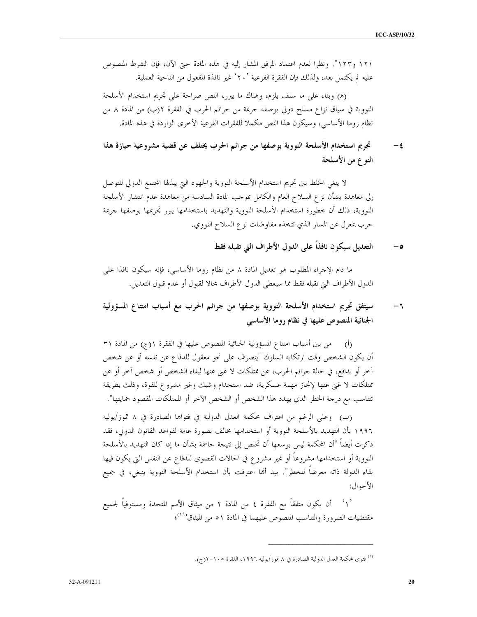١٢١ و١٢٣". ونظرًا لعدم اعتماد المرفق المشار إليه في هذه المادة حتى الآن، فإن الشرط المنصوص عليه لم يكتمل بعد، ولذلك فإن الفقرة الفرعية `٢٠ ْغير نافذة المفعول من الناحية العملية.

(ه) وبناء على ما سلف يلزم، وهناك ما يبرر، النص صراحة على تجريم استخدام الأسلحة النووية في سياق نزاع مسلح دولي بوصفه جريمة من حرائم الحرب في الفقرة ٢(ب) من المادة ٨ من نظام روما الأساسي، وسيكون هذا النص مكملاً للفقرات الفرعية الأخرى الواردة في هذه المادة.

#### تجريم استخدام الأسلحة النووية بوصفها من جرائم الحرب يختلف عن قضية مشروعية حيازة هذا  $-\xi$ النوع من الأسلحة

لا ينغي الخلط بين تحريم استخدام الأسلحة النووية والجهود التي يبذلها المحتمع الدولي للتوصل إلى معاهدة بشأن نزع السلاح العام والكامل بموجب المادة السادسة من معاهدة عدم انتشار الأسلحة النووية، ذلك أن خطورة استخدام الأسلحة النووية والتهديد باستخدامها يبرر تحريمها بوصفها جريمة حرب بمعزل عن المسار الذي تتخذه مفاوضات نزع السلاح النووي.

> التعديل سيكون نافذاً على الدول الأطراف التي تقبله فقط  $-\circ$

ما دام الإجراء المطلوب هو تعديل المادة ٨ من نظام روما الأساسي، فإنه سيكون نافذا على الدول الأطراف التي تقبله فقط مما سيعطى الدول الأطراف محالا لقبول أو عدم قبول التعديل.

#### سيتفق تجريم استخدام الأسلحة النووية بوصفها من جرائم الحرب مع أسباب امتناع المسؤولية  $-1$ الجنائية المنصوص عليها في نظام روما الأساسي

(أ) من بين أسباب امتناع المسؤولية الجنائية المنصوص عليها في الفقرة ١(ج) من المادة ٣١ أن يكون الشخص وقت ارتكابه السلوك "يتصرف على نحو معقول للدفاع عن نفسه أو عن شخص آخر أو يدافع، في حالة جرائم الحرب، عن ممتلكات لا غني عنها لبقاء الشخص أو شخص آخر أو عن ممتلكات لا غني عنها لإنجاز مهمة عسكرية، ضد استخدام وشيك وغير مشروع للقوة، وذلك بطريقة تتناسب مع درجة الخطر الذي يهدد هذا الشخص أو الشخص الآخر أو الممتلكات المقصود حمايتها".

(ب) وعلى الرغم من اعتراف محكمة العدل الدولية في فتواها الصادرة في ٨ تموز/يوليه ١٩٩٦ بأن التهديد بالأسلحة النووية أو استخدامها مخالف بصورة عامة لقواعد القانون الدولي، فقد ذكرت أيضاً "أن المحكمة ليس بوسعها أن تخلص إلى نتيجة حاسمة بشأن ما إذا كان التهديد بالأسلحة النووية أو استخدامها مشروعاً أو غير مشروع في الحالات القصوى للدفاع عن النفس التي يكون فيها بقاء الدولة ذاته معرضاً للخطر". بيد ألها اعترفت بأن استخدام الأسلحة النووية ينبغى، في جميع الأحوال:

أن يكون متفقًّا مع الفقرة ٤ من المادة ٢ من ميثاق الأمم المتحدة ومستوفياً لجميع مقتضيات الضرورة والتناسب المنصوص عليهما في المادة ٥١ من الميثاق<sup>(٩٠)</sup>؛

<sup>(&</sup>lt;sup>٩)</sup> فتوى محكمة العدل الدولية الصادرة في ٨ تموز/يوليه ١٩٩٦، الفقرة ١٠٥-٢(ج).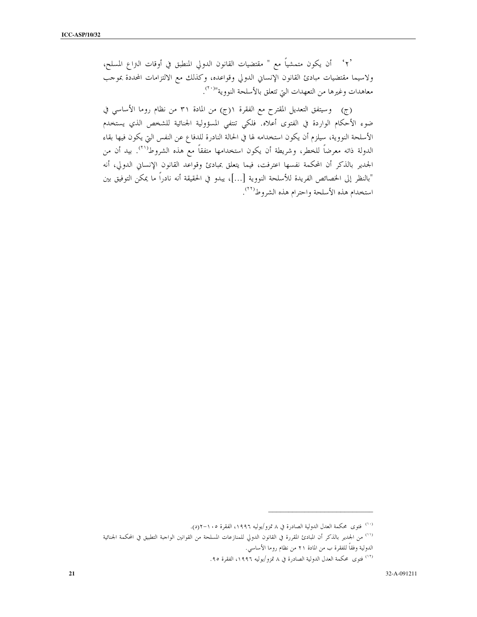ولاسيما مقتضيات مبادئ القانون الإنساني الدولي وقواعده، وكذلك مع الالتزامات المحددة بموحب معاهدات وغيرها من التعهدات التي تتعلق بالأسلحة النووية"<sup>(٢٠</sup>).

(ج) وسيتفق التعديل المقترح مع الفقرة ١(ج) من المادة ٣١ من نظام روما الأساسي في ضوء الأحكام الواردة في الفتوى أعلاه. فلكي تنتفي المسؤولية الجنائية للشخص الذي يستخدم الأسلحة النووية، سيلزم أن يكون استخدامه لها في الحالة النادرة للدفاع عن النفس التي يكون فيها بقاء الدولة ذاته معرضاً للخطر، وشريطة أن يكون استخدامها متفقاً مع هذه الشروط<sup>(٢١)</sup>. بيد أن من الجدير بالذكر أن المحكمة نفسها اعترفت، فيما يتعلق بمبادئ وقواعد القانون الإنساني الدولي، أنه "بالنظر إلى الخصائص الفريدة للأسلحة النووية […]، يبدو في الحقيقة أنه نادراً ما يمكن التوفيق بين استخدام هذه الأسلحة واحترام هذه الشروط<sup>(٢٢)</sup>.

<sup>&</sup>lt;sup>(۱۰)</sup> فتوى محكمة العدل الدولية الصادرة في ٨ تمزو/يوليه ١٩٩٦، الفقرة ١٠٥-٢(د).

<sup>&</sup>lt;sup>(١١)</sup> من الجدير بالذكر أن المبادئ المقررة في القانون الدولي للمنازعات المسلحة من القوانين الواحبة التطبيق في المحكمة الجنائية الدولية وفقاً للفقرة ب من المادة ٢١ من نظام روما الأساسي.

<sup>(</sup>١٢) فتوى محكمة العدل الدولية الصادرة في ٨ تمزو/يوليه ١٩٩٦، الفقرة ٩٥.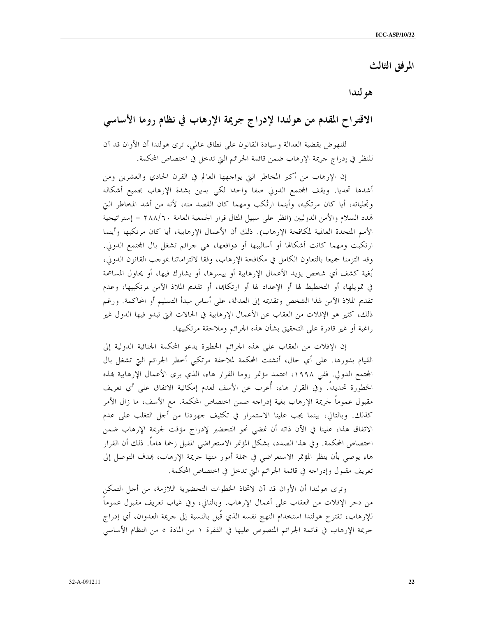## المرفق الثالث

هو لندا

# الاقتراح المقدم من هولندا لإدراج جريمة الإرهاب في نظام روما الأساسي

للنهوض بقضية العدالة وسيادة القانون على نطاق عالمي، ترى هولندا أن الأوان قد آن للنظر في إدراج حريمة الإرهاب ضمن قائمة الجرائم التي تدخل في اختصاص المحكمة.

إن الإرهاب من أكبر المخاطر التي يواجهها العالم في القرن الحادي والعشرين ومن أشدها تحديا. ويقف المحتمع الدولي صفا واحدا لكي يدين بشدة الإرهاب بجميع أشكاله وتجلياته، أيا كان مرتكبه، وأينما ارتُكب ومهما كان القصد منه، لأنه من أشد المخاطر التي تمدد السلام والأمن الدوليين (انظر على سبيل المثال قرار الجمعية العامة ٢٨٨/٦٠ – إستراتيجية الأمم المتحدة العالمية لمكافحة الإرهاب). ذلك أن الأعمال الإرهابية، أيا كان مرتكبها وأينما ارتكبت ومهما كانت أشكالها أو أساليبها أو دوافعها، هي جرائم تشغل بال المحتمع الدولي. وقد التزمنا جميعًا بالتعاون الكامل في مكافحة الإرهاب، وفقًا لالتزاماتنا بموجب القانون الدولي، بُغية كشف أي شخص يؤيد الأعمال الإرهابية أو ييسرها، أو يشارك فيها، أو يحاول المساهمة في تمويلها، أو التخطيط لها أو الإعداد لها أو ارتكاها، أو تقديم الملاذ الآمن لمرتكبيها، وعدم تقديم الملاذ الآمن لهذا الشخص وتقديمه إلى العدالة، على أساس مبدأ التسليم أو المحاكمة. ورغم ذلك، كثير هو الإفلات من العقاب عن الأعمال الإرهابية في الحالات التي تبدو فيها الدول غير راغبة أو غير قادرة على التحقيق بشأن هذه الجرائم وملاحقة مرتكبيها.

إن الإفلات من العقاب على هذه الجرائم الخطيرة يدعو المحكمة الجنائية الدولية إلى القيام بدورها. على أي حال، أنشئت المحكمة لملاحقة مرتكبي أخطر الجرائم التي تشغل بال المحتمع الدولي. ففي ١٩٩٨، اعتمد مؤتمر روما القرار هاء، الذي يرى الأعمال الإرهابية بمذه الخطورة تحديداً. وفي القرار هاء، أُعرب عن الأسف لعدم إمكانية الاتفاق على أي تعريف مقبول عموماً لجريمة الإرهاب بغية إدراجه ضمن اختصاص المحكمة. مع الأسف، ما زال الأمر كذلك. وبالتالي، بينما يجب علينا الاستمرار في تكثيف جهودنا من أجل التغلب على عدم الاتفاق هذا، علينا في الآن ذاته أن نمضى نحو التحضير لإدراج مؤقت لجريمة الإرهاب ضمن اختصاص المحكمة. وفي هذا الصدد، يشكل المؤتمر الاستعراضي المقبل زحما هاماً. ذلك أن القرار هاء يوصى بأن ينظر المؤتمر الاستعراضي في جملة أمور منها جريمة الإرهاب، بمدف التوصل إلى تعريف مقبول وإدراجه في قائمة الجرائم التي تدخل في اختصاص المحكمة.

وترى هولندا أن الأوان قد آن لاتخاذ الخطوات التحضيرية اللازمة، من أجل التمكن من دحر الإفلات من العقاب على أعمال الإرهاب. وبالتالي، وفي غياب تعريف مقبول عموماً للإرهاب، تقترح هولندا استخدام النهج نفسه الذي قُبل بالنسبة إلى جريمة العدوان، أي إدراج جريمة الإرهاب في قائمة الجرائم المنصوص عليها في الفقرة ١ من المادة ٥ من النظام الأساسي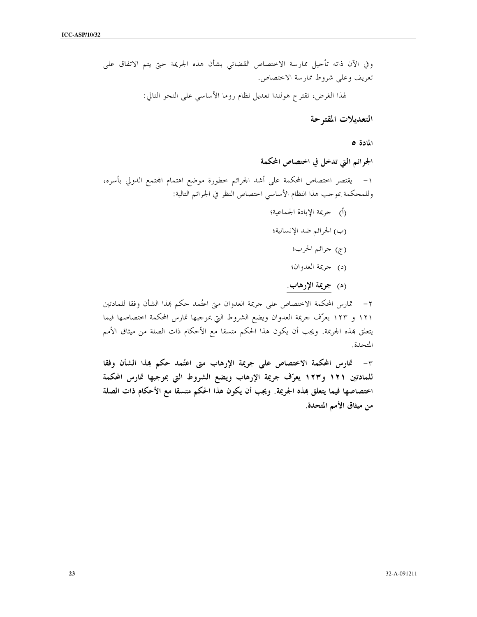التعديلات المقتوحة

المادة ٥

الجرائم التي تدخل في اختصاص المحكمة

١– يقتصر احتصاص المحكمة على أشد الجرائم خطورة موضع اهتمام المحتمع الدولي بأسره، وللمحكمة بموحب هذا النظام الأساسي اختصاص النظر في الجرائم التالية:

- (أ) حريمة الإبادة الجماعية؛
- (ب) الجرائم ضد الإنسانية؛
	- (ج) جرائم الحرب؛
	- (د) حريمة العدوان؛
	- (ه) جريمة الإرهاب.

تمارس المحكمة الاختصاص على جريمة العدوان متى اعتُمد حكم بمذا الشأن وفقا للمادتين  $-7$ ١٢١ و ١٢٣ يعرّف حريمة العدوان ويضع الشروط التي بموجبها تمارس المحكمة اختصاصها فيما يتعلق بمذه الجريمة. ويجب أن يكون هذا الحكم متسقا مع الأحكام ذات الصلة من ميثاق الأمم المتحدة.

٣- قارس المحكمة الاختصاص على جريمة الإرهاب متى اعتُمد حكم بمذا الشأن وفقا للمادتين ١٢١ و١٢٣ يعرّف جريمة الإرهاب ويضع الشروط التي بموجبها تمارس المحكمة اختصاصها فيما يتعلق بمذه الجريمة. ويجب أن يكون هذا الحكم متسقا مع الأحكام ذات الصلة من ميثاق الأمم المتحدة.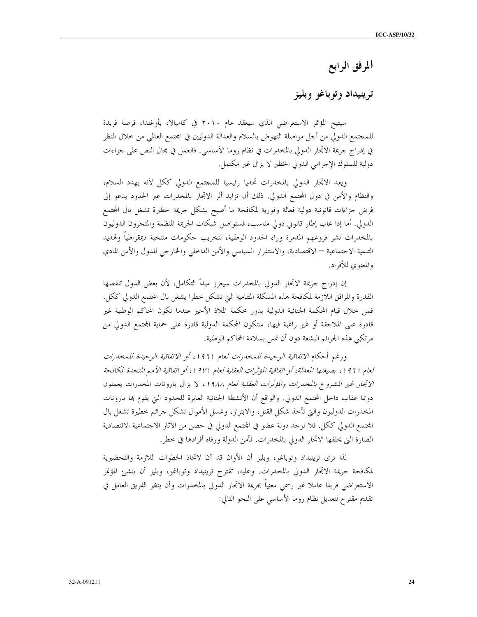# المرفق الرابع

## ترينيداد وتوباغو وبليز

سيتيح المؤتمر الاستعراضي الذي سيعقد عام ٢٠١٠ في كامبالا، بأوغندا، فرصة فريدة للمجتمع الدولي من أحل مواصلة النهوض بالسلام والعدالة الدوليين في المحتمع العالمي من حلال النظر في إدراج حريمة الاتجار الدولي بالمخدرات في نظام روما الأساسي. فالعمل في مجال النص على جزاءات دولية للسلوك الإحرامي الدولي الخطير لا يزال غير مكتمل.

ويعد الاتحار الدولي بالمخدرات تحديا رئيسيا للمحتمع الدولي ككل لأنه يهدد السلام، والنظام والأمن في دول المحتمع الدولي. ذلك أن تزايد أثر الاتجار بالمخدرات عبر الحدود يدعو إلى فرض جزاءات قانونية دولية فعالة وفورية لمكافحة ما أصبح يشكل جريمة خطيرة تشغل بال المحتمع الدولي. أما إذا غاب إطار قانوني دولي مناسب، فستواصل شبكات الجريمة المنظمة والمتجرون الدوليون بالمخدرات نشر فروعهم المدمرة وراء الحدود الوطنية، لتخريب حكومات منتخبة ديمقراطياً وقمديد التنمية الاحتماعية — الاقتصادية، والاستقرار السياسي والأمن الداخلي والخارجي للدول والأمن المادي والمعنوي للأفراد.

إن إدراج جريمة الاتجار الدولي بالمخدرات سيعزز مبدأ التكامل، لأن بعض الدول تنقصها القدرة والمرافق اللازمة لمكافحة هذه المشكلة المتنامية التي تشكل خطرا يشغل بال المحتمع الدولي ككل. فمن حلال قيام المحكمة الجنائية الدولية بدور محكمة الملاذ الأخير عندما تكون المحاكم الوطنية غير قادرة على الملاحقة أو غير راغبة فيها، ستكون المحكمة الدولية قادرة على حماية المحتمع الدولي من مرتكبي هذه الجرائم البشعة دون أن تمس بسلامة المحاكم الوطنية.

ورغم أحكام *الاتفاقية الوحيدة للمخدرات لعام 1911، أو الاتفاقية الوحيدة للمخدرات* لعام (911، بصيغتها المعللة، أو اتفاقية المؤثرات العقلية لعام (91/ في اتفاقية الأمم المتحلة لمكافحة الاتجار غير المشروع بالمخدرات والمؤثرات العقلية لعام ١٩٨٨، لا يزال بارونات المخدرات يعملون دونما عقاب داخل المجتمع الدولي. والواقع أن الأنشطة الجنائية العابرة للحدود التي يقوم بما بارونات المخدرات الدوليون والتي تأخذ شكل القتل، والابتزاز، وغسل الأموال تشكل حرائم خطيرة تشغل بال المجتمع الدولي ككل. فلا توحد دولة عضو في المجتمع الدولي في حصن من الآثار الاحتماعية الاقتصادية الضارة التي يخلفها الاتحار الدولي بالمخدرات. فأمن الدولة ورفاه أفرادها في حطر.

لذا ترى ترينيداد وتوباغو، وبليز أن الأوان قد آن لاتخاذ الخطوات اللازمة والتحضيرية لمكافحة جريمة الاتحار الدولي بالمخدرات. وعليه، تقترح ترينيداد وتوباغو، وبليز أن ينشئ المؤتمر الاستعراضي فريقا عاملا غير رسمي معنياً بجريمة الاتجار الدولى بالمخدرات وأن ينظر الفريق العامل في تقديم مقترح لتعديل نظام روما الأساسي على النحو التالي: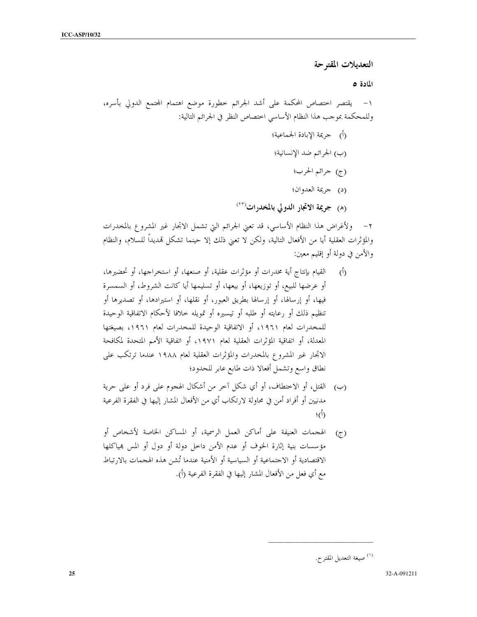التعديلات المقترحة

المادة ٥

٢– ولأغراض هذا النظام الأساسي، قد تعني الجرائم التي تشمل الاتجار غير المشروع بالمخدرات والمؤثرات العقلية أيا من الأفعال التالية، ولكن لا تعني ذلك إلا حينما تشكل تمديدًا للسلام، والنظام والأمن في دولة أو إقليم معين:

- القيام بإنتاج أية مخدرات أو مؤثرات عقلية، أو صنعها، أو استخراجها، أو تحضيرها،  $\phi$ أو عرضها للبيع، أو توزيعها، أو بيعها، أو تسليمها أيا كانت الشروط، أو السمسرة فيها، أو إرسالها، أو إرسالها بطريق العبور، أو نقلها، أو استيرادها، أو تصديرها أو تنظيم ذلك أو رعايته أو طلبه أو تيسيره أو تمويله حلافا لأحكام الاتفاقية الوحيدة للمخدرات لعام ١٩٦١، أو الاتفاقية الوحيدة للمخدرات لعام ١٩٦١، بصيغتها المعدلة، أو اتفاقية المؤثرات العقلية لعام ١٩٧١، أو اتفاقية الأمم المتحدة لمكافحة الاتجار غير المشروع بالمخدرات والمؤثرات العقلية لعام ١٩٨٨ عندما ترتكب على نطاق واسع وتشمل أفعالا ذات طابع عابر للحدود؛
- (ب) القتل، أو الاختطاف، أو أي شكل آخر من أشكال الهجوم على فرد أو على حرية مدنيين أو أفراد أمن في محاولة لارتكاب أي من الأفعال المشار إليها في الفقرة الفرعية  $\cdot$  (1)
- الهجمات العنيفة على أماكن العمل الرسمية، أو المساكن الخاصة لأشخاص أو  $(\tau)$ مؤسسات بنية إثارة الخوف أو عدم الأمن داخل دولة أو دول أو المس بمياكلها الاقتصادية أو الاحتماعية أو السياسية أو الأمنية عندما تُشن هذه الهجمات بالارتباط مع أي فعل من الأفعال المشار إليها في الفقرة الفرعية (أ).

<sup>&</sup>lt;sup>(۱)</sup> صيغة التعديل المقتر ح.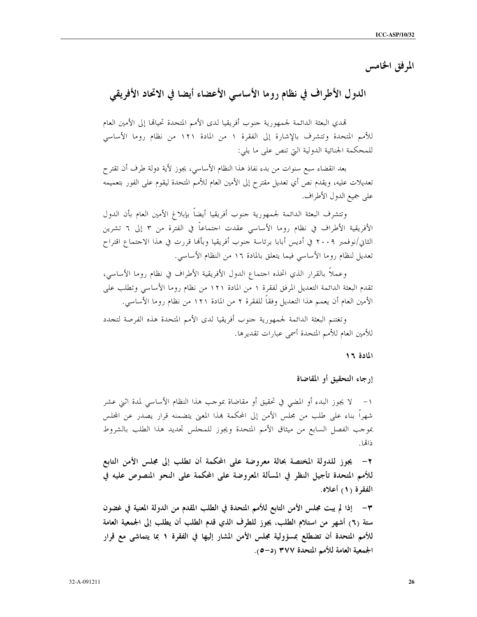المرفق الخامس

# الدول الأطراف في نظام روما الأساسي الأعضاء أيضا في الاتحاد الأفريقي

تمدي البعثة الدائمة لجمهورية حنوب أفريقيا لدى الأمم المتحدة تحيالها إلى الأمين العام للأمم المتحدة وتتشرف بالإشارة إلى الفقرة ١ من المادة ١٢١ من نظام روما الأساسي للمحكمة الجنائية الدولية التي تنص على ما يلي:

بعد انقضاء سبع سنوات من بدء نفاذ هذا النظام الأساسي، يجوز لأية دولة طرف أن تقترح تعديلات عليه، ويقدم نص أي تعديل مقترح إلى الأمين العام للأمم المتحدة ليقوم على الفور بتعميمه على جميع الدول الأطراف.

وتتشرف البعثة الدائمة لجمهورية حنوب أفريقيا أيضاً بإبلاغ الأمين العام بأن الدول الأفريقية الأطراف في نظام روما الأساسي عقدت احتماعاً في الفترة من ٣ إلى ٦ تشرين الثاني/نوفمبر ٢٠٠٩ في أديس أبابا برئاسة حنوب أفريقيا وبألها قررت في هذا الاحتماع اقتراح تعديل لنظام روما الأساسي فيما يتعلق بالمادة ١٦ من النظام الأساسي.

وعملاً بالقرار الذي اتخذه احتماع الدول الأفريقية الأطراف في نظام روما الأساسي، تقدم البعثة الدائمة التعديل المرفق لفقرة ١ من المادة ١٢١ من نظام روما الأساسي وتطلب على الأمين العام أن يعمم هذا التعديل وفقا للفقرة ٢ من المادة ١٢١ من نظام روما الأساسي.

وتغتنم البعثة الدائمة لجمهورية حنوب أفريقيا لدى الأمم المتحدة هذه الفرصة لتجدد للأمين العام للأمم المتحدة أسمى عبارات تقديرها.

المادة ١٦

إرجاء التحقيق أو المقاضاة

لا يجوز البدء أو المضى في تحقيق أو مقاضاة بموحب هذا النظام الأساسى لمدة اثني عشر  $-1$ شهراً بناء على طلب من مجلس الأمن إلى المحكمة هذا المعنى يتضمنه قرار يصدر عن المجلس بموجب الفصل السابع من ميثاق الأمم المتحدة ويجوز للمحلس تحديد هذا الطلب بالشروط ذاتها

٢– يجوز للدولة المختصة بحالة معروضة على المحكمة أن تطلب إلى مجلس الأمن التابع للأمم المتحدة تأجيل النظر في المسألة المعروضة على المحكمة على النحو المنصوص عليه في الفقرة (١) أعلاه.

٣– إذا لم يبت مجلس الأمن التابع للأمم المتحدة في الطلب المقدم من الدولة المعنية في غضون ستة (٦) أشهر من استلام الطلب، يجوز للطرف الذي قدم الطلب أن يطلب إلى الجمعية العامة للأمم المتحدة أن تضطلع بمسؤولية مجلس الأمن المشار إليها في الفقرة ١ بما يتماشى مع قرار الجمعية العامة للأمم المتحدة ٣٧٧ (د–٥).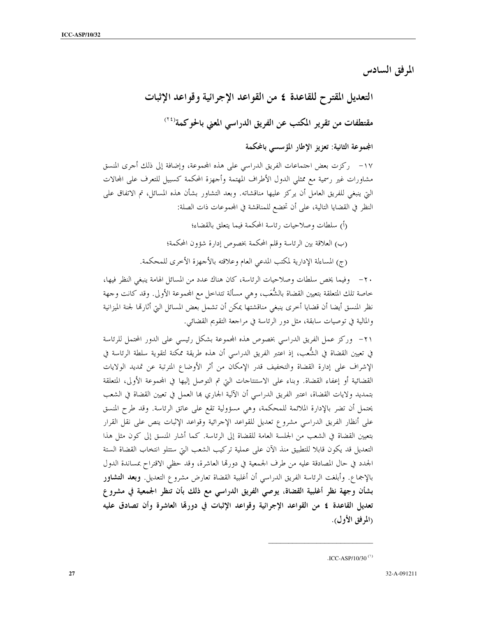المرفق السادس

التعديل المقترح للقاعدة ٤ من القواعد الإجرائية وقواعد الإثبات مقتطفات من تقرير المكتب عن الفريق الدراسي المعنى بالحوكمة<sup>(٢٤</sup>)

المجموعة الثانية: تعزيز الإطار المؤسسي بالمحكمة

١٧– ركزت بعض اجتماعات الفريق الدراسي على هذه المحموعة، وإضافة إلى ذلك أجرى المنسق مشاورات غير رسمية مع ممثلي الدول الأطراف المهتمة وأحهزة المحكمة كسبيل للتعرف على المحالات التي ينبغي للفريق العامل أن يركز عليها مناقشاته. وبعد التشاور بشأن هذه المسائل، تم الاتفاق على النظر في القضايا التالية، على أن تخضع للمناقشة في المحموعات ذات الصلة:

- (أ) سلطات وصلاحيات رئاسة المحكمة فيما يتعلق بالقضاء؛
- (ب) العلاقة بين الرئاسة وقلم المحكمة بخصوص إدارة شؤون المحكمة؛
- (ج) المساءلة الإدارية لمكتب المدعى العام وعلاقته بالأحهزة الأخرى للمحكمة.

٢٠ – وفيما يخص سلطات وصلاحيات الرئاسة، كان هناك عدد من المسائل الهامة ينبغي النظر فيها، خاصة تلك المتعلقة بتعيين القضاة بالشُّعَب، وهي مسألة تتداخل مع المجموعة الأولى. وقد كانت وجهة نظر المنسق أيضا أن قضايا أخرى ينبغي مناقشتها يمكن أن تشمل بعض المسائل التي أثارتما لجنة الميزانية والمالية في توصيات سابقة، مثل دور الرئاسة في مراجعة التقويم القضائي.

٢١- وركز عمل الفريق الدراسي بخصوص هذه المحموعة بشكل رئيسي على الدور المحتمل للرئاسة في تعيين القضاة في الشُّعب، إذ اعتبر الفريق الدراسي أن هذه طريقة ممكنة لتقوية سلطة الرئاسة في الإشراف على إدارة القضاة والتخفيف قدر الإمكان من أثر الأوضاع المترتبة عن تمديد الولايات القضائية أو إعفاء القضاة. وبناء على الاستنتاحات التي تم التوصل إليها في المحموعة الأولى، المتعلقة بتمديد ولايات القضاة، اعتبر الفريق الدراسي أن الآلية الجاري بما العمل في تعيين القضاة في الشعب يحتمل أن تضر بالإدارة الملائمة للمحكمة، وهي مسؤولية تقع على عاتق الرئاسة. وقد طرح المنسق على أنظار الفريق الدراسي مشروع تعديل للقواعد الإحرائية وقواعد الإثبات ينص على نقل القرار بتعيين القضاة في الشعب من الجلسة العامة للقضاة إلى الرئاسة. كما أشار المنسق إلى كون مثل هذا التعديل قد يكون قابلا للتطبيق منذ الآن على عملية تركيب الشعب التي ستتلو انتخاب القضاة الستة الجدد في حال المصادقة عليه من طرف الجمعية في دورتما العاشرة، وقد حظى الاقتراح بمساندة الدول بالإجماع. وأبلغت الرئاسة الفريق الدراسي أن أغلبية القضاة تعارض مشروع التعديل. وبعد ا**لتشاور** بشأن وجهة نظر أغلبية القضاة، يوصى الفريق الدراسي مع ذلك بأن تنظر الجمعية في مشروع تعديل القاعدة ٤ من القواعد الإجرائية وقواعد الإثبات في دورقا العاشرة وأن تصادق عليه (المرفق الأول).

<sup>.</sup>ICC-ASP/10/30 $^{(1)}$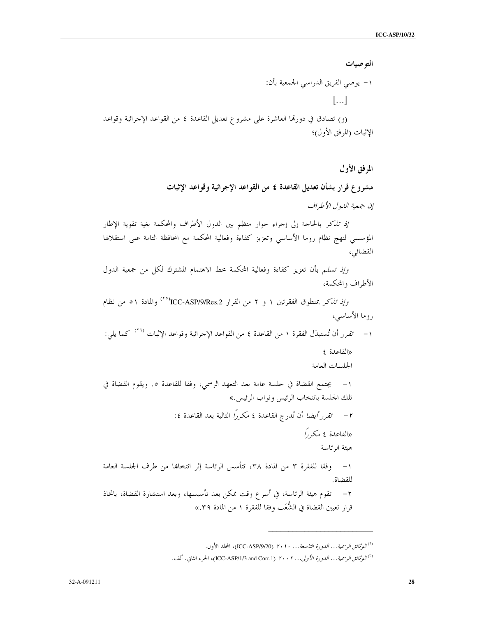التو صيات ١– يوصى الفريق الدراسي الجمعية بأن:  $\left[\ldots\right]$ (و) تصادق في دورتما العاشرة على مشروع تعديل القاعدة ٤ من القواعد الإحرائية وقواعد الإثبات (المرفق الأول)؛

> المرفق الأول مشروع قرار بشأن تعديل القاعدة ٤ من القواعد الإجرائية وقواعد الإثبات إن جمعية اللهول الأطراف

إ*ذ تذكر* بالحاجة إلى إجراء حوار منظم بين الدول الأطراف والمحكمة بغية تقوية الإطار المؤسسي لنهج نظام روما الأساسي وتعزيز كفاءة وفعالية المحكمة مع المحافظة التامة على استقلالها القضائي،

وإذ تسلم بأن تعزيز كفاءة وفعالية المحكمة محط الاهتمام المشترك لكل من جمعية الدول الأطراف والمحكمة،

وإ*ذ تذكر* بمنطوق الفقرتين ١ و ٢ من القرار ICC-ASP/9/Res.2أ<sup>(٢٥)</sup> والمادة ٥١ من نظام روما الأساسي، ١ – *تقرر* أن تُستبدَل الفقرة ١ من القاعدة ٤ من القواعد الإحرائية وقواعد الإثبات <sup>(٢٦)</sup> كما يلي: «القاعدة ٤ الجلسات العامة ١ – يجتمع القضاة في حلسة عامة بعد التعهد الرسمي، وفقا للقاعدة ٥. ويقوم القضاة في تلك الجلسة بانتخاب الرئيس ونواب الرئيس.» ٢ – تقرر أيضًا أن تُدرج القاعدة ٤ مكررًا التالية بعد القاعدة ٤: «القاعدة ٤ مكر,ً/ هبئة الرئاسة ١– وفقا للفقرة ٣ من المادة ٣٨، تتأسس الرئاسة إثر انتخاها من طرف الجلسة العامة للقضاة. ٢ – تقوم هيئة الرئاسة، في أسر ع وقت ممكن بعد تأسيسها، وبعد استشارة القضاة، باتخاذ قرار تعيين القضاة في الشُّعَب وفقا للفقرة ١ من المادة ٣٩.»

<sup>&</sup>lt;sup>(٢)</sup> ال*وثائق الرسمية... الدورة التاسعة... ٢٠١٠* (ICC-ASP/9/20)، المحلد الأول.

<sup>&</sup>lt;sup>(٣)</sup> *الوثائق الرسمية... الدورة الأولى... ٢٠٠٢* (ICC-ASP/1/3 and Corr.1)، الجزء الثاني. ألف.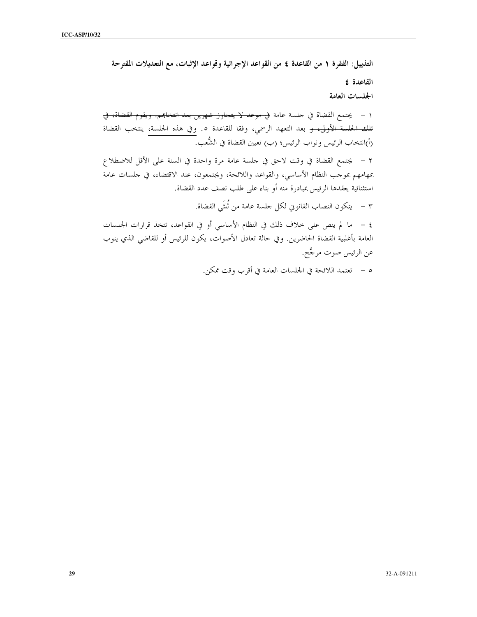التذييل: الفقرة ١ من القاعدة ٤ من القواعد الإجرائية وقواعد الإثبات، مع التعديلات المقترحة القاعدة ٤ الجلسات العامة ١ – يجتمع القضاة في حلسة عامة <del>في موعد لا يتحاوز شهرين بعد انتخابهم. ويقوم القضاة، في</del> <del>تلك الجلسة الأولى، و</del> بعد التعهد الرسمي، وفقا للقاعدة ٥. وفي هذه الجلسة، ينتخب القضاة <del>(أ)انتخاب</del> الرئيس ونواب الرئيس<del>؛ (ب) تعيين القضاة في الشُّعب</del>. ٢ – يجتمع القضاة في وقت لاحق في حلسة عامة مرة واحدة في السنة على الأقل للاضطلاع بمهامهم بموحب النظام الأساسي، والقواعد واللائحة، ويجتمعون، عند الاقتضاء، في حلسات عامة استثنائية يعقدها الرئيس بمبادرة منه أو بناء على طلب نصف عدد القضاة. ٣ – يتكون النصاب القانويي لكل حلسة عامة من ثُلثَى القضاة. ٤ – ما لم ينص على حلاف ذلك في النظام الأساسي أو في القواعد، تتخذ قرارات الجلسات العامة بأغلبية القضاة الحاضرين. وفي حالة تعادل الأصوات، يكون للرئيس أو للقاضي الذي ينوب عن الرئيس صوت مرجَّح.

٥ – تعتمد اللائحة في الجلسات العامة في أقرب وقت ممكن.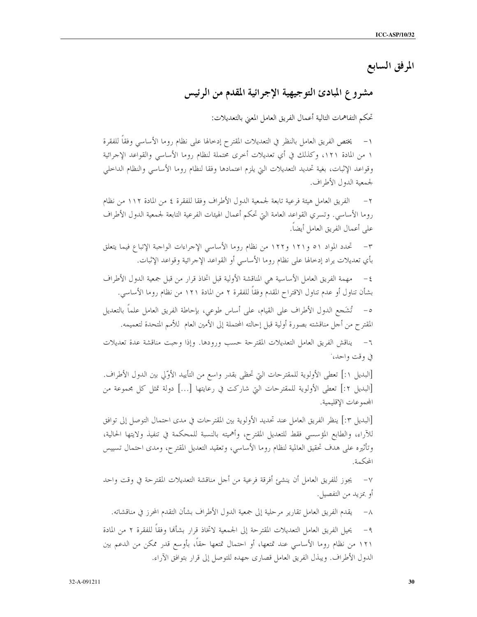المرفق السابع

# مشروع المبادئ التوجيهية الإجرائية المقدم من الرئيس

تحكم التفاهمات التالية أعمال الفريق العامل المعبى بالتعديلات:

يختص الفريق العامل بالنظر في التعديلات المقترح إدخالها على نظام روما الأساسى وفقاً للفقرة  $-1$ ١ من المادة ١٢١، وكذلك في أي تعديلات أخرى محتملة لنظام روما الأساسي والقواعد الإجرائية وقواعد الإثبات، بغية تحديد التعديلات التي يلزم اعتمادها وفقا لنظام روما الأساسي والنظام الداخلي لجمعية الدول الأطراف.

الفريق العامل هيئة فرعية تابعة لجمعية الدول الأطراف وفقا للفقرة ٤ من المادة ١١٢ من نظام روما الأساسي. وتسري القواعد العامة التي تحكم أعمال الهيئات الفرعية التابعة لجمعية الدول الأطراف على أعمال الفريق العامل أيضاً.

٣– تحدد المواد ٥١ و١٢١ و١٢٢ من نظام روما الأساسي الإحراءات الواحبة الإتباع فيما يتعلق بأي تعديلات يراد إدخالها على نظام روما الأساسي أو القواعد الإجرائية وقواعد الإثبات.

٤ – مهمة الفريق العامل الأساسية هي المناقشة الأولية قبل اتخاذ قرار من قبل جمعية الدول الأطراف بشأن تناول أو عدم تناول الاقتراح المقدم وفقاً للفقرة ٢ من المادة ١٢١ من نظام روما الأساسي.

٥- تُشَجع الدول الأطراف على القيام، على أساس طوعي، بإحاطة الفريق العامل علماً بالتعديل المقترح من أحل مناقشته بصورة أولية قبل إحالته المحتملة إلى الأمين العام للأمم المتحدة لتعميمه.

٦- يناقش الفريق العامل التعديلات المقترحة حسب ورودها. وإذا وجبت مناقشة عدة تعديلات في وقت واحد،

[البديل ١:] تعطي الأولوية للمقترحات التي تحظي بقدر واسع من التأييد الأوَّلي بين الدول الأطراف. [البديل ٢:] تعطي الأولوية للمقترحات التي شاركت في رعايتها […] دولة تمثل كل مجموعة من المحمو عات الاقليمية.

[البديل ٣:] ينظر الفريق العامل عند تحديد الأولوية بين المقتر حات في مدى احتمال التوصل إلى توافق للآراء، والطابع المؤسسي فقط للتعديل المقترح، وأهميته بالنسبة للمحكمة في تنفيذ ولايتها الحالية، وتأثيره على هدف تحقيق العالمية لنظام روما الأساسي، وتعقيد التعديل المقترح، ومدى احتمال تسييس المحكمة.

٧– يجوز للفريق العامل أن ينشئ أفرقة فرعية من أجل مناقشة التعديلات المقترحة في وقت واحد أو بمزيد من التفصيل.

يقدم الفريق العامل تقارير مرحلية إلى جمعية الدول الأطراف بشأن التقدم المحرز في مناقشاته.  $-\lambda$ يحيل الفريق العامل التعديلات المقترحة إلى الجمعية لاتخاذ قرار بشألها وفقاً للفقرة ٢ من المادة  $-9$ ١٢١ من نظام روما الأساسي عند تمتعها، أو احتمال تمتعها حقاً، بأوسع قدر ممكن من الدعم بين الدول الأطراف. ويبذل الفريق العامل قصاري جهده للتوصل إلى قرار بتوافق الآراء.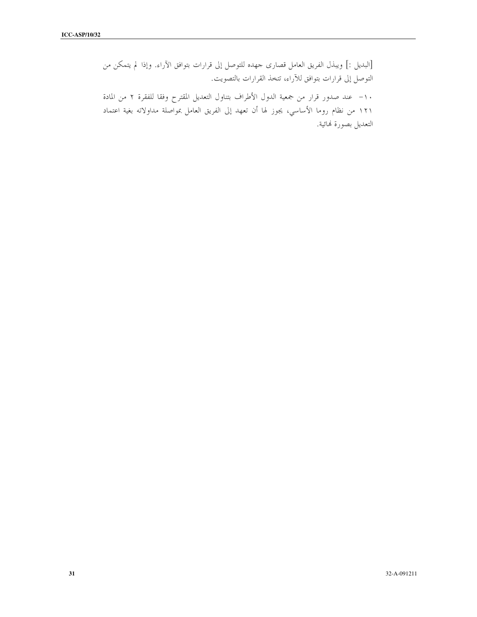[البديل :] ويبذل الفريق العامل قصارى حمهده للتوصل إلى قرارات بتوافق الآراء. وإذا لم يتمكن من التوصل إلى قرارات بتوافق للآراء، تتخذ القرارات بالتصويت.

١٠– عند صدور قرار من جمعية الدول الأطراف بتناول التعديل المقترح وفقا للفقرة ٢ من المادة ١٢١ من نظام روما الأساسي، يجوز لها أن تعهد إلى الفريق العامل بمواصلة مداولاته بغية اعتماد التعديل بصورة لهائية.